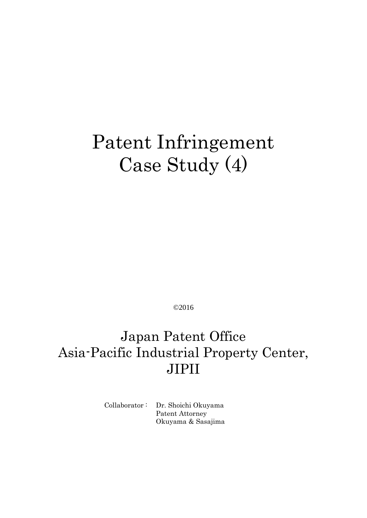# Patent Infringement Case Study (4)

©2016

# Japan Patent Office Asia-Pacific Industrial Property Center, JIPII

Collaborator : Dr. Shoichi Okuyama Patent Attorney Okuyama & Sasajima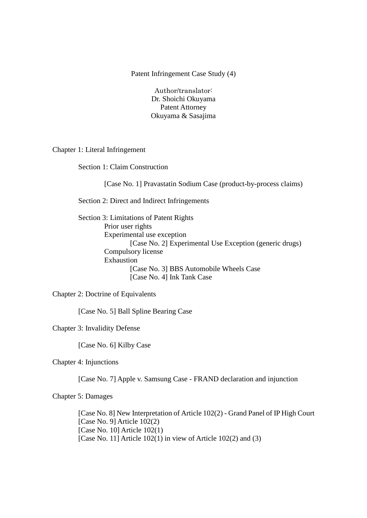Patent Infringement Case Study (4)

Author/translator: Dr. Shoichi Okuyama Patent Attorney Okuyama & Sasajima

Chapter 1: Literal Infringement

Section 1: Claim Construction

[Case No. 1] Pravastatin Sodium Case (product-by-process claims)

Section 2: Direct and Indirect Infringements

Section 3: Limitations of Patent Rights Prior user rights Experimental use exception [Case No. 2] Experimental Use Exception (generic drugs) Compulsory license Exhaustion [Case No. 3] BBS Automobile Wheels Case [Case No. 4] Ink Tank Case

Chapter 2: Doctrine of Equivalents

[Case No. 5] Ball Spline Bearing Case

Chapter 3: Invalidity Defense

[Case No. 6] Kilby Case

Chapter 4: Injunctions

[Case No. 7] Apple v. Samsung Case - FRAND declaration and injunction

Chapter 5: Damages

[Case No. 8] New Interpretation of Article 102(2) - Grand Panel of IP High Court [Case No. 9] Article 102(2) [Case No. 10] Article 102(1) [Case No. 11] Article 102(1) in view of Article 102(2) and (3)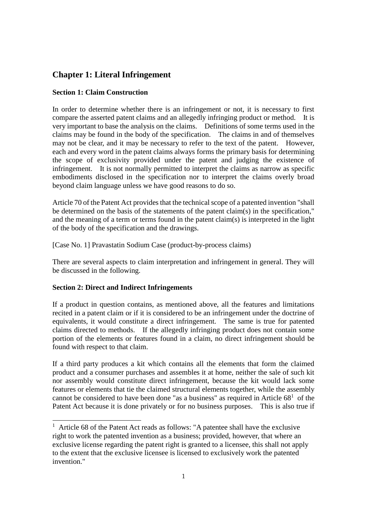# **Chapter 1: Literal Infringement**

#### **Section 1: Claim Construction**

In order to determine whether there is an infringement or not, it is necessary to first compare the asserted patent claims and an allegedly infringing product or method. It is very important to base the analysis on the claims. Definitions of some terms used in the claims may be found in the body of the specification. The claims in and of themselves may not be clear, and it may be necessary to refer to the text of the patent. However, each and every word in the patent claims always forms the primary basis for determining the scope of exclusivity provided under the patent and judging the existence of infringement. It is not normally permitted to interpret the claims as narrow as specific embodiments disclosed in the specification nor to interpret the claims overly broad beyond claim language unless we have good reasons to do so.

Article 70 of the Patent Act provides that the technical scope of a patented invention "shall be determined on the basis of the statements of the patent claim(s) in the specification," and the meaning of a term or terms found in the patent claim(s) is interpreted in the light of the body of the specification and the drawings.

[Case No. 1] Pravastatin Sodium Case (product-by-process claims)

There are several aspects to claim interpretation and infringement in general. They will be discussed in the following.

# **Section 2: Direct and Indirect Infringements**

-

If a product in question contains, as mentioned above, all the features and limitations recited in a patent claim or if it is considered to be an infringement under the doctrine of equivalents, it would constitute a direct infringement. The same is true for patented claims directed to methods. If the allegedly infringing product does not contain some portion of the elements or features found in a claim, no direct infringement should be found with respect to that claim.

If a third party produces a kit which contains all the elements that form the claimed product and a consumer purchases and assembles it at home, neither the sale of such kit nor assembly would constitute direct infringement, because the kit would lack some features or elements that tie the claimed structural elements together, while the assembly cannot be considered to have been done "as a business" as required in Article  $68<sup>1</sup>$  of the Patent Act because it is done privately or for no business purposes. This is also true if

<sup>&</sup>lt;sup>1</sup> Article 68 of the Patent Act reads as follows: "A patentee shall have the exclusive right to work the patented invention as a business; provided, however, that where an exclusive license regarding the patent right is granted to a licensee, this shall not apply to the extent that the exclusive licensee is licensed to exclusively work the patented invention."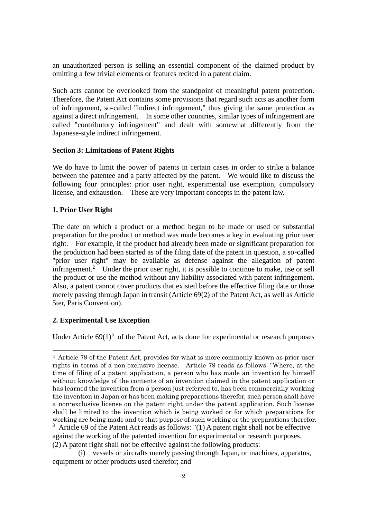an unauthorized person is selling an essential component of the claimed product by omitting a few trivial elements or features recited in a patent claim.

Such acts cannot be overlooked from the standpoint of meaningful patent protection. Therefore, the Patent Act contains some provisions that regard such acts as another form of infringement, so-called "indirect infringement," thus giving the same protection as against a direct infringement. In some other countries, similar types of infringement are called "contributory infringement" and dealt with somewhat differently from the Japanese-style indirect infringement.

#### **Section 3: Limitations of Patent Rights**

We do have to limit the power of patents in certain cases in order to strike a balance between the patentee and a party affected by the patent. We would like to discuss the following four principles: prior user right, experimental use exemption, compulsory license, and exhaustion. These are very important concepts in the patent law.

#### **1. Prior User Right**

The date on which a product or a method began to be made or used or substantial preparation for the product or method was made becomes a key in evaluating prior user right. For example, if the product had already been made or significant preparation for the production had been started as of the filing date of the patent in question, a so-called "prior user right" may be available as defense against the allegation of patent infringement.<sup>2</sup> Under the prior user right, it is possible to continue to make, use or sell the product or use the method without any liability associated with patent infringement. Also, a patent cannot cover products that existed before the effective filing date or those merely passing through Japan in transit (Article 69(2) of the Patent Act, as well as Article 5ter, Paris Convention).

#### **2. Experimental Use Exception**

-

Under Article  $69(1)^3$  of the Patent Act, acts done for experimental or research purposes

<sup>2</sup> Article 79 of the Patent Act, provides for what is more commonly known as prior user rights in terms of a non-exclusive license. Article 79 reads as follows: "Where, at the time of filing of a patent application, a person who has made an invention by himself without knowledge of the contents of an invention claimed in the patent application or has learned the invention from a person just referred to, has been commercially working the invention in Japan or has been making preparations therefor, such person shall have a non-exclusive license on the patent right under the patent application. Such license shall be limited to the invention which is being worked or for which preparations for working are being made and to that purpose of such working or the preparations therefor.  $3$  Article 69 of the Patent Act reads as follows: "(1) A patent right shall not be effective

against the working of the patented invention for experimental or research purposes. (2) A patent right shall not be effective against the following products:

<sup>(</sup>i) vessels or aircrafts merely passing through Japan, or machines, apparatus, equipment or other products used therefor; and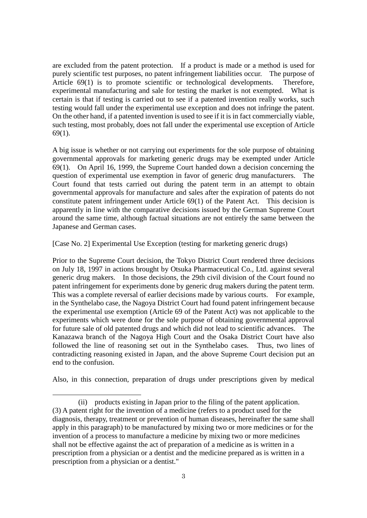are excluded from the patent protection. If a product is made or a method is used for purely scientific test purposes, no patent infringement liabilities occur. The purpose of Article 69(1) is to promote scientific or technological developments. Therefore, experimental manufacturing and sale for testing the market is not exempted. What is certain is that if testing is carried out to see if a patented invention really works, such testing would fall under the experimental use exception and does not infringe the patent. On the other hand, if a patented invention is used to see if it is in fact commercially viable, such testing, most probably, does not fall under the experimental use exception of Article 69(1).

A big issue is whether or not carrying out experiments for the sole purpose of obtaining governmental approvals for marketing generic drugs may be exempted under Article 69(1). On April 16, 1999, the Supreme Court handed down a decision concerning the question of experimental use exemption in favor of generic drug manufacturers. The Court found that tests carried out during the patent term in an attempt to obtain governmental approvals for manufacture and sales after the expiration of patents do not constitute patent infringement under Article 69(1) of the Patent Act. This decision is apparently in line with the comparative decisions issued by the German Supreme Court around the same time, although factual situations are not entirely the same between the Japanese and German cases.

[Case No. 2] Experimental Use Exception (testing for marketing generic drugs)

Prior to the Supreme Court decision, the Tokyo District Court rendered three decisions on July 18, 1997 in actions brought by Otsuka Pharmaceutical Co., Ltd. against several generic drug makers. In those decisions, the 29th civil division of the Court found no patent infringement for experiments done by generic drug makers during the patent term. This was a complete reversal of earlier decisions made by various courts. For example, in the Synthelabo case, the Nagoya District Court had found patent infringement because the experimental use exemption (Article 69 of the Patent Act) was not applicable to the experiments which were done for the sole purpose of obtaining governmental approval for future sale of old patented drugs and which did not lead to scientific advances. The Kanazawa branch of the Nagoya High Court and the Osaka District Court have also followed the line of reasoning set out in the Synthelabo cases. Thus, two lines of contradicting reasoning existed in Japan, and the above Supreme Court decision put an end to the confusion.

Also, in this connection, preparation of drugs under prescriptions given by medical

-

<sup>(</sup>ii) products existing in Japan prior to the filing of the patent application. (3) A patent right for the invention of a medicine (refers to a product used for the diagnosis, therapy, treatment or prevention of human diseases, hereinafter the same shall apply in this paragraph) to be manufactured by mixing two or more medicines or for the invention of a process to manufacture a medicine by mixing two or more medicines shall not be effective against the act of preparation of a medicine as is written in a prescription from a physician or a dentist and the medicine prepared as is written in a prescription from a physician or a dentist."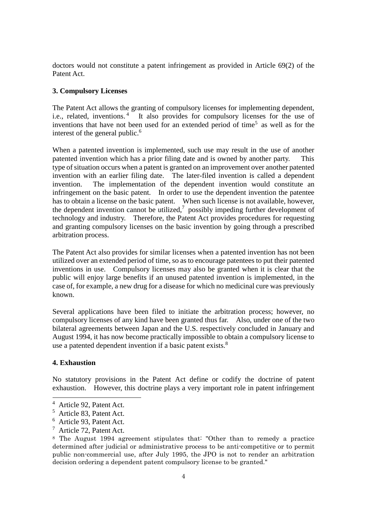doctors would not constitute a patent infringement as provided in Article 69(2) of the Patent Act.

#### **3. Compulsory Licenses**

The Patent Act allows the granting of compulsory licenses for implementing dependent, i.e., related, inventions.<sup>4</sup> It also provides for compulsory licenses for the use of inventions that have not been used for an extended period of time<sup>5</sup> as well as for the interest of the general public.<sup>6</sup>

When a patented invention is implemented, such use may result in the use of another patented invention which has a prior filing date and is owned by another party. This type of situation occurs when a patent is granted on an improvement over another patented invention with an earlier filing date. The later-filed invention is called a dependent invention. The implementation of the dependent invention would constitute an infringement on the basic patent. In order to use the dependent invention the patentee has to obtain a license on the basic patent. When such license is not available, however, the dependent invention cannot be utilized,<sup>7</sup> possibly impeding further development of technology and industry. Therefore, the Patent Act provides procedures for requesting and granting compulsory licenses on the basic invention by going through a prescribed arbitration process.

The Patent Act also provides for similar licenses when a patented invention has not been utilized over an extended period of time, so as to encourage patentees to put their patented inventions in use. Compulsory licenses may also be granted when it is clear that the public will enjoy large benefits if an unused patented invention is implemented, in the case of, for example, a new drug for a disease for which no medicinal cure was previously known.

Several applications have been filed to initiate the arbitration process; however, no compulsory licenses of any kind have been granted thus far. Also, under one of the two bilateral agreements between Japan and the U.S. respectively concluded in January and August 1994, it has now become practically impossible to obtain a compulsory license to use a patented dependent invention if a basic patent exists. $8<sup>8</sup>$ 

#### **4. Exhaustion**

-

No statutory provisions in the Patent Act define or codify the doctrine of patent exhaustion. However, this doctrine plays a very important role in patent infringement

<sup>4</sup> Article 92, Patent Act.

<sup>5</sup> Article 83, Patent Act.

<sup>6</sup> Article 93, Patent Act.

<sup>7</sup> Article 72, Patent Act.

<sup>8</sup> The August 1994 agreement stipulates that: "Other than to remedy a practice determined after judicial or administrative process to be anti-competitive or to permit public non-commercial use, after July 1995, the JPO is not to render an arbitration decision ordering a dependent patent compulsory license to be granted."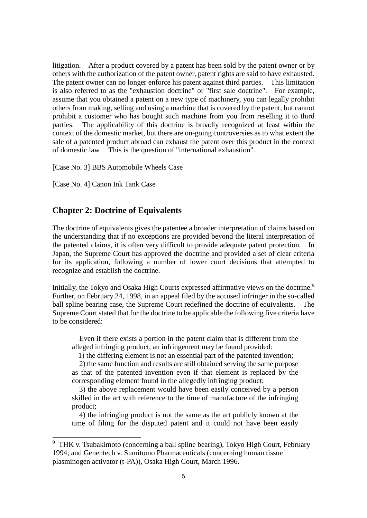litigation. After a product covered by a patent has been sold by the patent owner or by others with the authorization of the patent owner, patent rights are said to have exhausted. The patent owner can no longer enforce his patent against third parties. This limitation is also referred to as the "exhaustion doctrine" or "first sale doctrine". For example, assume that you obtained a patent on a new type of machinery, you can legally prohibit others from making, selling and using a machine that is covered by the patent, but cannot prohibit a customer who has bought such machine from you from reselling it to third parties. The applicability of this doctrine is broadly recognized at least within the context of the domestic market, but there are on-going controversies as to what extent the sale of a patented product abroad can exhaust the patent over this product in the context of domestic law. This is the question of "international exhaustion".

[Case No. 3] BBS Automobile Wheels Case

[Case No. 4] Canon Ink Tank Case

-

#### **Chapter 2: Doctrine of Equivalents**

The doctrine of equivalents gives the patentee a broader interpretation of claims based on the understanding that if no exceptions are provided beyond the literal interpretation of the patented claims, it is often very difficult to provide adequate patent protection. In Japan, the Supreme Court has approved the doctrine and provided a set of clear criteria for its application, following a number of lower court decisions that attempted to recognize and establish the doctrine.

Initially, the Tokyo and Osaka High Courts expressed affirmative views on the doctrine.<sup>9</sup> Further, on February 24, 1998, in an appeal filed by the accused infringer in the so-called ball spline bearing case, the Supreme Court redefined the doctrine of equivalents. The Supreme Court stated that for the doctrine to be applicable the following five criteria have to be considered:

 Even if there exists a portion in the patent claim that is different from the alleged infringing product, an infringement may be found provided:

1) the differing element is not an essential part of the patented invention;

2) the same function and results are still obtained serving the same purpose as that of the patented invention even if that element is replaced by the corresponding element found in the allegedly infringing product;

3) the above replacement would have been easily conceived by a person skilled in the art with reference to the time of manufacture of the infringing product;

4) the infringing product is not the same as the art publicly known at the time of filing for the disputed patent and it could not have been easily

<sup>9</sup> THK v. Tsubakimoto (concerning a ball spline bearing), Tokyo High Court, February 1994; and Genentech v. Sumitomo Pharmaceuticals (concerning human tissue plasminogen activator (t-PA)), Osaka High Court, March 1996.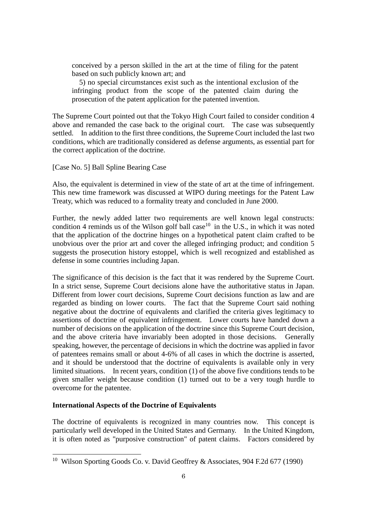conceived by a person skilled in the art at the time of filing for the patent based on such publicly known art; and

5) no special circumstances exist such as the intentional exclusion of the infringing product from the scope of the patented claim during the prosecution of the patent application for the patented invention.

The Supreme Court pointed out that the Tokyo High Court failed to consider condition 4 above and remanded the case back to the original court. The case was subsequently settled. In addition to the first three conditions, the Supreme Court included the last two conditions, which are traditionally considered as defense arguments, as essential part for the correct application of the doctrine.

[Case No. 5] Ball Spline Bearing Case

Also, the equivalent is determined in view of the state of art at the time of infringement. This new time framework was discussed at WIPO during meetings for the Patent Law Treaty, which was reduced to a formality treaty and concluded in June 2000.

Further, the newly added latter two requirements are well known legal constructs: condition 4 reminds us of the Wilson golf ball case<sup>10</sup> in the U.S., in which it was noted that the application of the doctrine hinges on a hypothetical patent claim crafted to be unobvious over the prior art and cover the alleged infringing product; and condition 5 suggests the prosecution history estoppel, which is well recognized and established as defense in some countries including Japan.

The significance of this decision is the fact that it was rendered by the Supreme Court. In a strict sense, Supreme Court decisions alone have the authoritative status in Japan. Different from lower court decisions, Supreme Court decisions function as law and are regarded as binding on lower courts. The fact that the Supreme Court said nothing negative about the doctrine of equivalents and clarified the criteria gives legitimacy to assertions of doctrine of equivalent infringement. Lower courts have handed down a number of decisions on the application of the doctrine since this Supreme Court decision, and the above criteria have invariably been adopted in those decisions. Generally speaking, however, the percentage of decisions in which the doctrine was applied in favor of patentees remains small or about 4-6% of all cases in which the doctrine is asserted, and it should be understood that the doctrine of equivalents is available only in very limited situations. In recent years, condition (1) of the above five conditions tends to be given smaller weight because condition (1) turned out to be a very tough hurdle to overcome for the patentee.

#### **International Aspects of the Doctrine of Equivalents**

 $\overline{a}$ 

The doctrine of equivalents is recognized in many countries now. This concept is particularly well developed in the United States and Germany. In the United Kingdom, it is often noted as "purposive construction" of patent claims. Factors considered by

<sup>&</sup>lt;sup>10</sup> Wilson Sporting Goods Co. v. David Geoffrey & Associates, 904 F.2d 677 (1990)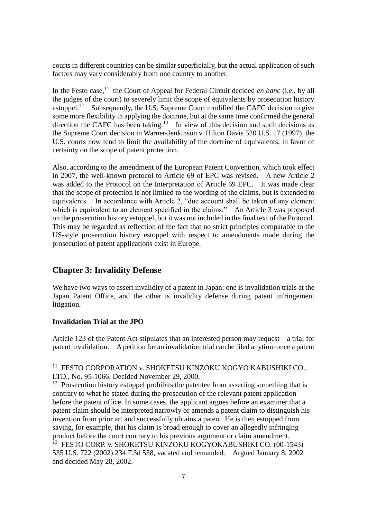courts in different countries can be similar superficially, but the actual application of such factors may vary considerably from one country to another.

In the Festo case,<sup>11</sup> the Court of Appeal for Federal Circuit decided *en banc* (i.e., by all the judges of the court) to severely limit the scope of equivalents by prosecution history estoppel.<sup>12</sup> Subsequently, the U.S. Supreme Court modified the CAFC decision to give some more flexibility in applying the doctrine, but at the same time confirmed the general direction the CAFC has been taking.<sup>13</sup> In view of this decision and such decisions as the Supreme Court decision in Warner-Jenkinson v. Hilton Davis 520 U.S. 17 (1997), the U.S. courts now tend to limit the availability of the doctrine of equivalents, in favor of certainty on the scope of patent protection.

Also, according to the amendment of the European Patent Convention, which took effect in 2007, the well-known protocol to Article 69 of EPC was revised. A new Article 2 was added to the Protocol on the Interpretation of Article 69 EPC. It was made clear that the scope of protection is not limited to the wording of the claims, but is extended to equivalents. In accordance with Article 2, "due account shall be taken of any element which is equivalent to an element specified in the claims." An Article 3 was proposed on the prosecution history estoppel, but it was not included in the final text of the Protocol. This may be regarded as reflection of the fact that no strict principles comparable to the US-style prosecution history estoppel with respect to amendments made during the prosecution of patent applications exist in Europe.

# **Chapter 3: Invalidity Defense**

We have two ways to assert invalidity of a patent in Japan: one is invalidation trials at the Japan Patent Office, and the other is invalidity defense during patent infringement litigation.

#### **Invalidation Trial at the JPO**

 $\overline{a}$ 

Article 123 of the Patent Act stipulates that an interested person may request a trial for patent invalidation. Apetition for an invalidation trial can be filed anytime once a patent

<sup>&</sup>lt;sup>11</sup> FESTO CORPORATION v. SHOKETSU KINZOKU KOGYO KABUSHIKI CO., LTD., No. 95-1066. Decided November 29, 2000.

 $12$  Prosecution history estoppel prohibits the patentee from asserting something that is contrary to what he stated during the prosecution of the relevant patent application before the patent office. In some cases, the applicant argues before an examiner that a patent claim should be interpreted narrowly or amends a patent claim to distinguish his invention from prior art and successfully obtains a patent. He is then estopped from saying, for example, that his claim is broad enough to cover an allegedly infringing product before the court contrary to his previous argument or claim amendment. <sup>13</sup> FESTO CORP. v. SHOKETSU KINZOKU KOGYOKABUSHIKI CO. (00-1543) 535 U.S. 722 (2002) 234 F.3d 558, vacated and remanded. Argued January 8, 2002 and decided May 28, 2002.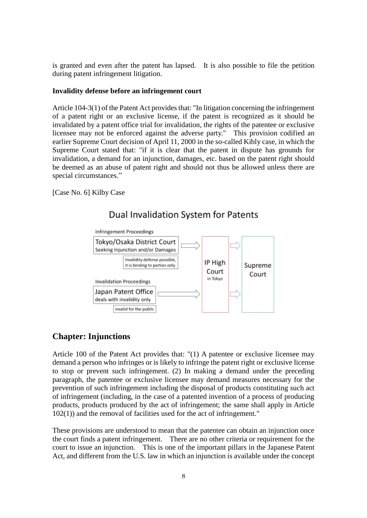is granted and even after the patent has lapsed. It is also possible to file the petition during patent infringement litigation.

#### **Invalidity defense before an infringement court**

Article 104-3(1) of the Patent Act provides that: "In litigation concerning the infringement of a patent right or an exclusive license, if the patent is recognized as it should be invalidated by a patent office trial for invalidation, the rights of the patentee or exclusive licensee may not be enforced against the adverse party." This provision codified an earlier Supreme Court decision of April 11, 2000 in the so-called Kibly case, in which the Supreme Court stated that: "if it is clear that the patent in dispute has grounds for invalidation, a demand for an injunction, damages, etc. based on the patent right should be deemed as an abuse of patent right and should not thus be allowed unless there are special circumstances."

[Case No. 6] Kilby Case



# Dual Invalidation System for Patents

# **Chapter: Injunctions**

Article 100 of the Patent Act provides that: "(1) A patentee or exclusive licensee may demand a person who infringes or is likely to infringe the patent right or exclusive license to stop or prevent such infringement. (2) In making a demand under the preceding paragraph, the patentee or exclusive licensee may demand measures necessary for the prevention of such infringement including the disposal of products constituting such act of infringement (including, in the case of a patented invention of a process of producing products, products produced by the act of infringement; the same shall apply in Article 102(1)) and the removal of facilities used for the act of infringement."

These provisions are understood to mean that the patentee can obtain an injunction once the court finds a patent infringement. There are no other criteria or requirement for the court to issue an injunction. This is one of the important pillars in the Japanese Patent Act, and different from the U.S. law in which an injunction is available under the concept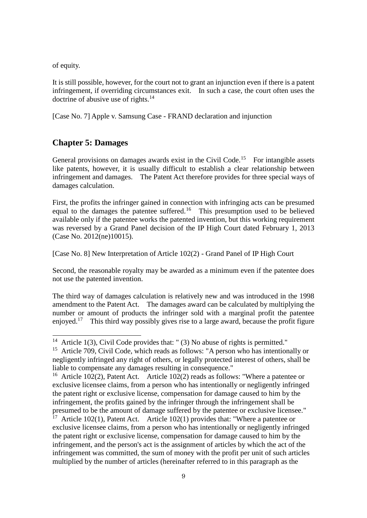of equity.

-

It is still possible, however, for the court not to grant an injunction even if there is a patent infringement, if overriding circumstances exit. In such a case, the court often uses the doctrine of abusive use of rights.<sup>14</sup>

[Case No. 7] Apple v. Samsung Case - FRAND declaration and injunction

# **Chapter 5: Damages**

General provisions on damages awards exist in the Civil Code.<sup>15</sup> For intangible assets like patents, however, it is usually difficult to establish a clear relationship between infringement and damages. The Patent Act therefore provides for three special ways of damages calculation.

First, the profits the infringer gained in connection with infringing acts can be presumed equal to the damages the patentee suffered.<sup>16</sup> This presumption used to be believed available only if the patentee works the patented invention, but this working requirement was reversed by a Grand Panel decision of the IP High Court dated February 1, 2013 (Case No. 2012(ne)10015).

[Case No. 8] New Interpretation of Article 102(2) - Grand Panel of IP High Court

Second, the reasonable royalty may be awarded as a minimum even if the patentee does not use the patented invention.

The third way of damages calculation is relatively new and was introduced in the 1998 amendment to the Patent Act. The damages award can be calculated by multiplying the number or amount of products the infringer sold with a marginal profit the patentee enjoyed.<sup>17</sup> This third way possibly gives rise to a large award, because the profit figure

<sup>&</sup>lt;sup>14</sup> Article 1(3), Civil Code provides that: " (3) No abuse of rights is permitted."

<sup>&</sup>lt;sup>15</sup> Article 709, Civil Code, which reads as follows: "A person who has intentionally or negligently infringed any right of others, or legally protected interest of others, shall be liable to compensate any damages resulting in consequence."

<sup>&</sup>lt;sup>16</sup> Article 102(2), Patent Act. Article 102(2) reads as follows: "Where a patentee or exclusive licensee claims, from a person who has intentionally or negligently infringed the patent right or exclusive license, compensation for damage caused to him by the infringement, the profits gained by the infringer through the infringement shall be presumed to be the amount of damage suffered by the patentee or exclusive licensee."

 $17$  Article 102(1), Patent Act. Article 102(1) provides that: "Where a patentee or exclusive licensee claims, from a person who has intentionally or negligently infringed the patent right or exclusive license, compensation for damage caused to him by the infringement, and the person's act is the assignment of articles by which the act of the infringement was committed, the sum of money with the profit per unit of such articles multiplied by the number of articles (hereinafter referred to in this paragraph as the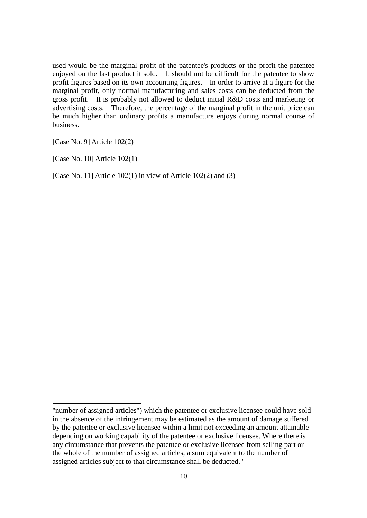used would be the marginal profit of the patentee's products or the profit the patentee enjoyed on the last product it sold. It should not be difficult for the patentee to show profit figures based on its own accounting figures. In order to arrive at a figure for the marginal profit, only normal manufacturing and sales costs can be deducted from the gross profit. It is probably not allowed to deduct initial R&D costs and marketing or advertising costs. Therefore, the percentage of the marginal profit in the unit price can be much higher than ordinary profits a manufacture enjoys during normal course of business.

[Case No. 9] Article 102(2)

 $[Case No. 10]$  Article  $102(1)$ 

-

[Case No. 11] Article 102(1) in view of Article 102(2) and (3)

<sup>&</sup>quot;number of assigned articles") which the patentee or exclusive licensee could have sold in the absence of the infringement may be estimated as the amount of damage suffered by the patentee or exclusive licensee within a limit not exceeding an amount attainable depending on working capability of the patentee or exclusive licensee. Where there is any circumstance that prevents the patentee or exclusive licensee from selling part or the whole of the number of assigned articles, a sum equivalent to the number of assigned articles subject to that circumstance shall be deducted."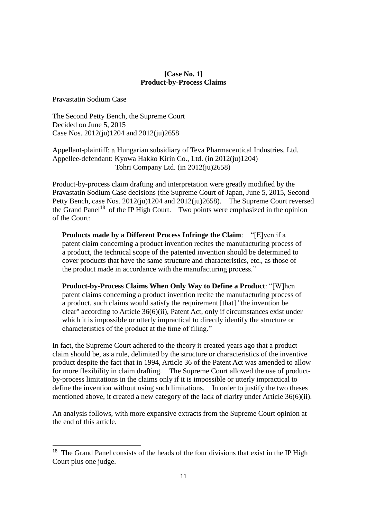#### **[Case No. 1] Product-by-Process Claims**

Pravastatin Sodium Case

-

The Second Petty Bench, the Supreme Court Decided on June 5, 2015 Case Nos. 2012(ju)1204 and 2012(ju)2658

Appellant-plaintiff: a Hungarian subsidiary of Teva Pharmaceutical Industries, Ltd. Appellee-defendant: Kyowa Hakko Kirin Co., Ltd. (in 2012(ju)1204) Tohri Company Ltd. (in 2012(ju)2658)

Product-by-process claim drafting and interpretation were greatly modified by the Pravastatin Sodium Case decisions (the Supreme Court of Japan, June 5, 2015, Second Petty Bench, case Nos. 2012(ju)1204 and 2012(ju)2658). The Supreme Court reversed the Grand Panel<sup>18</sup> of the IP High Court. Two points were emphasized in the opinion of the Court:

**Products made by a Different Process Infringe the Claim**: "[E]ven if a patent claim concerning a product invention recites the manufacturing process of a product, the technical scope of the patented invention should be determined to cover products that have the same structure and characteristics, etc., as those of the product made in accordance with the manufacturing process."

**Product-by-Process Claims When Only Way to Define a Product**: "[W]hen patent claims concerning a product invention recite the manufacturing process of a product, such claims would satisfy the requirement [that] "the invention be clear" according to Article 36(6)(ii), Patent Act, only if circumstances exist under which it is impossible or utterly impractical to directly identify the structure or characteristics of the product at the time of filing."

In fact, the Supreme Court adhered to the theory it created years ago that a product claim should be, as a rule, delimited by the structure or characteristics of the inventive product despite the fact that in 1994, Article 36 of the Patent Act was amended to allow for more flexibility in claim drafting. The Supreme Court allowed the use of productby-process limitations in the claims only if it is impossible or utterly impractical to define the invention without using such limitations. In order to justify the two theses mentioned above, it created a new category of the lack of clarity under Article 36(6)(ii).

An analysis follows, with more expansive extracts from the Supreme Court opinion at the end of this article.

 $18$  The Grand Panel consists of the heads of the four divisions that exist in the IP High Court plus one judge.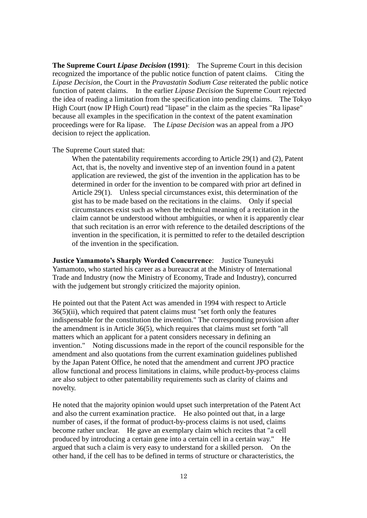**The Supreme Court** *Lipase Decision* **(1991)**: The Supreme Court in this decision recognized the importance of the public notice function of patent claims. Citing the *Lipase Decision,* the Court in the *Pravastatin Sodium Case* reiterated the public notice function of patent claims. In the earlier *Lipase Decision* the Supreme Court rejected the idea of reading a limitation from the specification into pending claims. The Tokyo High Court (now IP High Court) read "lipase" in the claim as the species "Ra lipase" because all examples in the specification in the context of the patent examination proceedings were for Ra lipase. The *Lipase Decision* was an appeal from a JPO decision to reject the application.

The Supreme Court stated that:

When the patentability requirements according to Article 29(1) and (2), Patent Act, that is, the novelty and inventive step of an invention found in a patent application are reviewed, the gist of the invention in the application has to be determined in order for the invention to be compared with prior art defined in Article 29(1). Unless special circumstances exist, this determination of the gist has to be made based on the recitations in the claims. Only if special circumstances exist such as when the technical meaning of a recitation in the claim cannot be understood without ambiguities, or when it is apparently clear that such recitation is an error with reference to the detailed descriptions of the invention in the specification, it is permitted to refer to the detailed description of the invention in the specification.

**Justice Yamamoto's Sharply Worded Concurrence**: Justice Tsuneyuki Yamamoto, who started his career as a bureaucrat at the Ministry of International Trade and Industry (now the Ministry of Economy, Trade and Industry), concurred with the judgement but strongly criticized the majority opinion.

He pointed out that the Patent Act was amended in 1994 with respect to Article 36(5)(ii), which required that patent claims must "set forth only the features indispensable for the constitution the invention." The corresponding provision after the amendment is in Article 36(5), which requires that claims must set forth "all matters which an applicant for a patent considers necessary in defining an invention." Noting discussions made in the report of the council responsible for the amendment and also quotations from the current examination guidelines published by the Japan Patent Office, he noted that the amendment and current JPO practice allow functional and process limitations in claims, while product-by-process claims are also subject to other patentability requirements such as clarity of claims and novelty.

He noted that the majority opinion would upset such interpretation of the Patent Act and also the current examination practice. He also pointed out that, in a large number of cases, if the format of product-by-process claims is not used, claims become rather unclear. He gave an exemplary claim which recites that "a cell produced by introducing a certain gene into a certain cell in a certain way." He argued that such a claim is very easy to understand for a skilled person. On the other hand, if the cell has to be defined in terms of structure or characteristics, the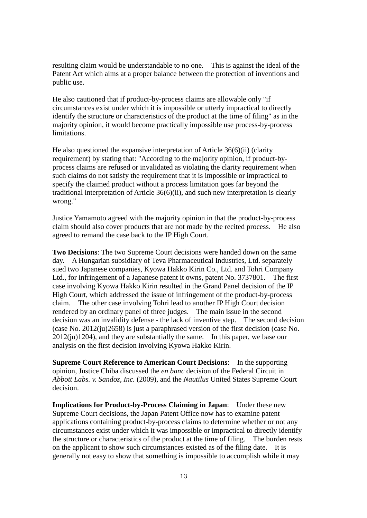resulting claim would be understandable to no one. This is against the ideal of the Patent Act which aims at a proper balance between the protection of inventions and public use.

He also cautioned that if product-by-process claims are allowable only "if circumstances exist under which it is impossible or utterly impractical to directly identify the structure or characteristics of the product at the time of filing" as in the majority opinion, it would become practically impossible use process-by-process limitations.

He also questioned the expansive interpretation of Article 36(6)(ii) (clarity requirement) by stating that: "According to the majority opinion, if product-byprocess claims are refused or invalidated as violating the clarity requirement when such claims do not satisfy the requirement that it is impossible or impractical to specify the claimed product without a process limitation goes far beyond the traditional interpretation of Article 36(6)(ii), and such new interpretation is clearly wrong."

Justice Yamamoto agreed with the majority opinion in that the product-by-process claim should also cover products that are not made by the recited process. He also agreed to remand the case back to the IP High Court.

**Two Decisions**: The two Supreme Court decisions were handed down on the same day. A Hungarian subsidiary of Teva Pharmaceutical Industries, Ltd. separately sued two Japanese companies, Kyowa Hakko Kirin Co., Ltd. and Tohri Company Ltd., for infringement of a Japanese patent it owns, patent No. 3737801. The first case involving Kyowa Hakko Kirin resulted in the Grand Panel decision of the IP High Court, which addressed the issue of infringement of the product-by-process claim. The other case involving Tohri lead to another IP High Court decision rendered by an ordinary panel of three judges. The main issue in the second decision was an invalidity defense - the lack of inventive step. The second decision (case No. 2012(ju)2658) is just a paraphrased version of the first decision (case No.  $2012(iu)1204$ , and they are substantially the same. In this paper, we base our analysis on the first decision involving Kyowa Hakko Kirin.

**Supreme Court Reference to American Court Decisions**: In the supporting opinion, Justice Chiba discussed the *en banc* decision of the Federal Circuit in *Abbott Labs. v. Sandoz, Inc.* (2009), and the *Nautilus* United States Supreme Court decision.

**Implications for Product-by-Process Claiming in Japan**: Under these new Supreme Court decisions, the Japan Patent Office now has to examine patent applications containing product-by-process claims to determine whether or not any circumstances exist under which it was impossible or impractical to directly identify the structure or characteristics of the product at the time of filing. The burden rests on the applicant to show such circumstances existed as of the filing date. It is generally not easy to show that something is impossible to accomplish while it may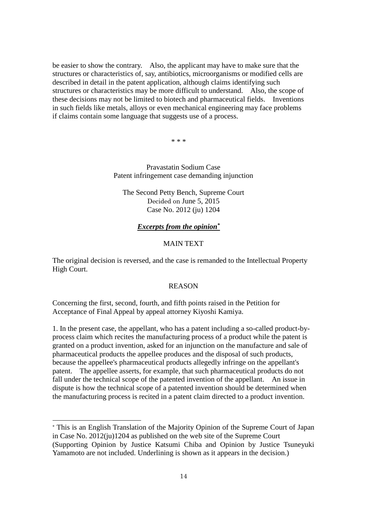be easier to show the contrary. Also, the applicant may have to make sure that the structures or characteristics of, say, antibiotics, microorganisms or modified cells are described in detail in the patent application, although claims identifying such structures or characteristics may be more difficult to understand. Also, the scope of these decisions may not be limited to biotech and pharmaceutical fields. Inventions in such fields like metals, alloys or even mechanical engineering may face problems if claims contain some language that suggests use of a process.

\* \* \*

Pravastatin Sodium Case Patent infringement case demanding injunction

The Second Petty Bench, Supreme Court Decided on June 5, 2015 Case No. 2012 (ju) 1204

#### *Excerpts from the opinion\**

#### MAIN TEXT

The original decision is reversed, and the case is remanded to the Intellectual Property High Court.

#### REASON

Concerning the first, second, fourth, and fifth points raised in the Petition for Acceptance of Final Appeal by appeal attorney Kiyoshi Kamiya.

1. In the present case, the appellant, who has a patent including a so-called product-byprocess claim which recites the manufacturing process of a product while the patent is granted on a product invention, asked for an injunction on the manufacture and sale of pharmaceutical products the appellee produces and the disposal of such products, because the appellee's pharmaceutical products allegedly infringe on the appellant's patent. The appellee asserts, for example, that such pharmaceutical products do not fall under the technical scope of the patented invention of the appellant. An issue in dispute is how the technical scope of a patented invention should be determined when the manufacturing process is recited in a patent claim directed to a product invention.

-

<sup>\*</sup> This is an English Translation of the Majority Opinion of the Supreme Court of Japan in Case No. 2012(ju)1204 as published on the web site of the Supreme Court (Supporting Opinion by Justice Katsumi Chiba and Opinion by Justice Tsuneyuki Yamamoto are not included. Underlining is shown as it appears in the decision.)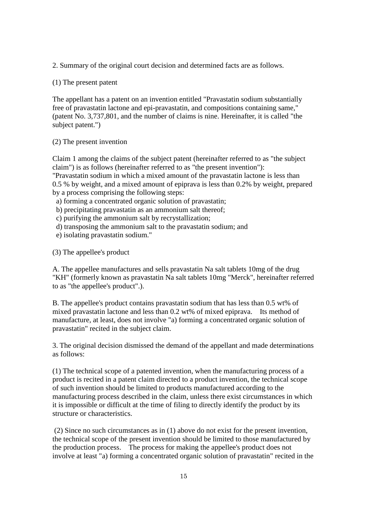2. Summary of the original court decision and determined facts are as follows.

(1) The present patent

The appellant has a patent on an invention entitled "Pravastatin sodium substantially free of pravastatin lactone and epi-pravastatin, and compositions containing same," (patent No. 3,737,801, and the number of claims is nine. Hereinafter, it is called "the subject patent.")

(2) The present invention

Claim 1 among the claims of the subject patent (hereinafter referred to as "the subject claim") is as follows (hereinafter referred to as "the present invention"): "Pravastatin sodium in which a mixed amount of the pravastatin lactone is less than 0.5 % by weight, and a mixed amount of epiprava is less than 0.2% by weight, prepared by a process comprising the following steps:

a) forming a concentrated organic solution of pravastatin;

b) precipitating pravastatin as an ammonium salt thereof;

c) purifying the ammonium salt by recrystallization;

d) transposing the ammonium salt to the pravastatin sodium; and

e) isolating pravastatin sodium."

(3) The appellee's product

A. The appellee manufactures and sells pravastatin Na salt tablets 10mg of the drug "KH" (formerly known as pravastatin Na salt tablets 10mg "Merck", hereinafter referred to as "the appellee's product".).

B. The appellee's product contains pravastatin sodium that has less than 0.5 wt% of mixed pravastatin lactone and less than 0.2 wt% of mixed epiprava. Its method of manufacture, at least, does not involve "a) forming a concentrated organic solution of pravastatin" recited in the subject claim.

3. The original decision dismissed the demand of the appellant and made determinations as follows:

(1) The technical scope of a patented invention, when the manufacturing process of a product is recited in a patent claim directed to a product invention, the technical scope of such invention should be limited to products manufactured according to the manufacturing process described in the claim, unless there exist circumstances in which it is impossible or difficult at the time of filing to directly identify the product by its structure or characteristics.

(2) Since no such circumstances as in (1) above do not exist for the present invention, the technical scope of the present invention should be limited to those manufactured by the production process. The process for making the appellee's product does not involve at least "a) forming a concentrated organic solution of pravastatin" recited in the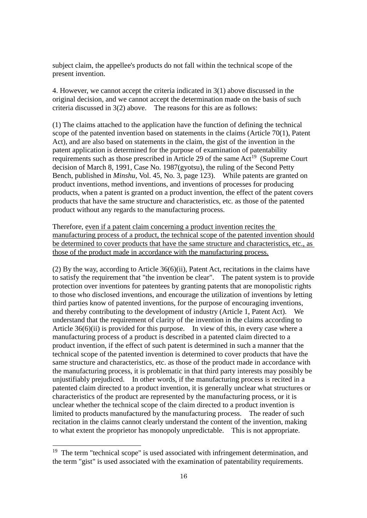subject claim, the appellee's products do not fall within the technical scope of the present invention.

4. However, we cannot accept the criteria indicated in 3(1) above discussed in the original decision, and we cannot accept the determination made on the basis of such criteria discussed in 3(2) above. The reasons for this are as follows:

(1) The claims attached to the application have the function of defining the technical scope of the patented invention based on statements in the claims (Article 70(1), Patent Act), and are also based on statements in the claim, the gist of the invention in the patent application is determined for the purpose of examination of patentability requirements such as those prescribed in Article 29 of the same  $Act^{19}$  (Supreme Court decision of March 8, 1991, Case No. 1987(gyotsu), the ruling of the Second Petty Bench, published in *Minshu*, Vol. 45, No. 3, page 123). While patents are granted on product inventions, method inventions, and inventions of processes for producing products, when a patent is granted on a product invention, the effect of the patent covers products that have the same structure and characteristics, etc. as those of the patented product without any regards to the manufacturing process.

Therefore, even if a patent claim concerning a product invention recites the manufacturing process of a product, the technical scope of the patented invention should be determined to cover products that have the same structure and characteristics, etc., as those of the product made in accordance with the manufacturing process.

(2) By the way, according to Article 36(6)(ii), Patent Act, recitations in the claims have to satisfy the requirement that "the invention be clear". The patent system is to provide protection over inventions for patentees by granting patents that are monopolistic rights to those who disclosed inventions, and encourage the utilization of inventions by letting third parties know of patented inventions, for the purpose of encouraging inventions, and thereby contributing to the development of industry (Article 1, Patent Act). We understand that the requirement of clarity of the invention in the claims according to Article 36(6)(ii) is provided for this purpose. In view of this, in every case where a manufacturing process of a product is described in a patented claim directed to a product invention, if the effect of such patent is determined in such a manner that the technical scope of the patented invention is determined to cover products that have the same structure and characteristics, etc. as those of the product made in accordance with the manufacturing process, it is problematic in that third party interests may possibly be unjustifiably prejudiced. In other words, if the manufacturing process is recited in a patented claim directed to a product invention, it is generally unclear what structures or characteristics of the product are represented by the manufacturing process, or it is unclear whether the technical scope of the claim directed to a product invention is limited to products manufactured by the manufacturing process. The reader of such recitation in the claims cannot clearly understand the content of the invention, making to what extent the proprietor has monopoly unpredictable. This is not appropriate.

-

<sup>&</sup>lt;sup>19</sup> The term "technical scope" is used associated with infringement determination, and the term "gist" is used associated with the examination of patentability requirements.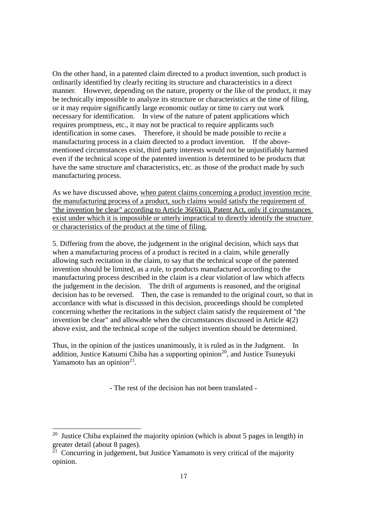On the other hand, in a patented claim directed to a product invention, such product is ordinarily identified by clearly reciting its structure and characteristics in a direct manner. However, depending on the nature, property or the like of the product, it may be technically impossible to analyze its structure or characteristics at the time of filing, or it may require significantly large economic outlay or time to carry out work necessary for identification. In view of the nature of patent applications which requires promptness, etc., it may not be practical to require applicants such identification in some cases. Therefore, it should be made possible to recite a manufacturing process in a claim directed to a product invention. If the abovementioned circumstances exist, third party interests would not be unjustifiably harmed even if the technical scope of the patented invention is determined to be products that have the same structure and characteristics, etc. as those of the product made by such manufacturing process.

As we have discussed above, when patent claims concerning a product invention recite the manufacturing process of a product, such claims would satisfy the requirement of "the invention be clear" according to Article 36(6)(ii), Patent Act, only if circumstances exist under which it is impossible or utterly impractical to directly identify the structure or characteristics of the product at the time of filing.

5. Differing from the above, the judgement in the original decision, which says that when a manufacturing process of a product is recited in a claim, while generally allowing such recitation in the claim, to say that the technical scope of the patented invention should be limited, as a rule, to products manufactured according to the manufacturing process described in the claim is a clear violation of law which affects the judgement in the decision. The drift of arguments is reasoned, and the original decision has to be reversed. Then, the case is remanded to the original court, so that in accordance with what is discussed in this decision, proceedings should be completed concerning whether the recitations in the subject claim satisfy the requirement of "the invention be clear" and allowable when the circumstances discussed in Article 4(2) above exist, and the technical scope of the subject invention should be determined.

Thus, in the opinion of the justices unanimously, it is ruled as in the Judgment. In addition, Justice Katsumi Chiba has a supporting opinion<sup>20</sup>, and Justice Tsunevuki Yamamoto has an opinion $2<sup>1</sup>$ .

- The rest of the decision has not been translated -

-

<sup>&</sup>lt;sup>20</sup> Justice Chiba explained the majority opinion (which is about 5 pages in length) in greater detail (about 8 pages).

 $21$  Concurring in judgement, but Justice Yamamoto is very critical of the majority opinion.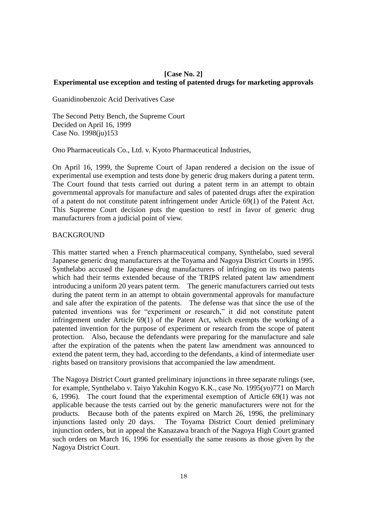#### **[Case No. 2] Experimental use exception and testing of patented drugs for marketing approvals**

Guanidinobenzoic Acid Derivatives Case

The Second Petty Bench, the Supreme Court Decided on April 16, 1999 Case No. 1998(ju)153

Ono Pharmaceuticals Co., Ltd. v. Kyoto Pharmaceutical Industries,

On April 16, 1999, the Supreme Court of Japan rendered a decision on the issue of experimental use exemption and tests done by generic drug makers during a patent term. The Court found that tests carried out during a patent term in an attempt to obtain governmental approvals for manufacture and sales of patented drugs after the expiration of a patent do not constitute patent infringement under Article 69(1) of the Patent Act. This Supreme Court decision puts the question to restf in favor of generic drug manufacturers from a judicial point of view.

#### **BACKGROUND**

This matter started when a French pharmaceutical company, Synthelabo, sued several Japanese generic drug manufacturers at the Toyama and Nagoya District Courts in 1995. Synthelabo accused the Japanese drug manufacturers of infringing on its two patents which had their terms extended because of the TRIPS related patent law amendment introducing a uniform 20 years patent term. The generic manufacturers carried out tests during the patent term in an attempt to obtain governmental approvals for manufacture and sale after the expiration of the patents. The defense was that since the use of the patented inventions was for "experiment or research," it did not constitute patent infringement under Article 69(1) of the Patent Act, which exempts the working of a patented invention for the purpose of experiment or research from the scope of patent protection. Also, because the defendants were preparing for the manufacture and sale after the expiration of the patents when the patent law amendment was announced to extend the patent term, they had, according to the defendants, a kind of intermediate user rights based on transitory provisions that accompanied the law amendment.

The Nagoya District Court granted preliminary injunctions in three separate rulings (see, for example, Synthelabo v. Taiyo Yakuhin Kogyo K.K., case No. 1995(yo)771 on March 6, 1996). The court found that the experimental exemption of Article 69(1) was not applicable because the tests carried out by the generic manufacturers were not for the products. Because both of the patents expired on March 26, 1996, the preliminary injunctions lasted only 20 days. The Toyama District Court denied preliminary injunction orders, but in appeal the Kanazawa branch of the Nagoya High Court granted such orders on March 16, 1996 for essentially the same reasons as those given by the Nagoya District Court.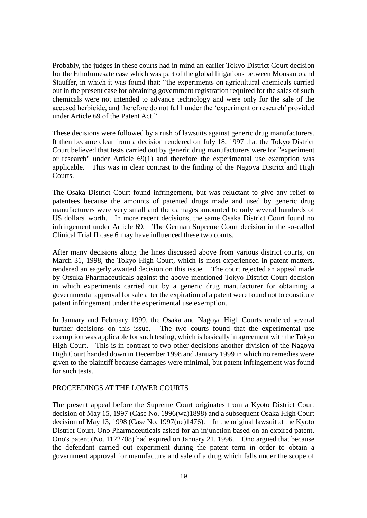Probably, the judges in these courts had in mind an earlier Tokyo District Court decision for the Ethofumesate case which was part of the global litigations between Monsanto and Stauffer, in which it was found that: "the experiments on agricultural chemicals carried out in the present case for obtaining government registration required for the sales of such chemicals were not intended to advance technology and were only for the sale of the accused herbicide, and therefore do not fa11 under the 'experiment or research' provided under Article 69 of the Patent Act."

These decisions were followed by a rush of lawsuits against generic drug manufacturers. It then became clear from a decision rendered on July 18, 1997 that the Tokyo District Court believed that tests carried out by generic drug manufacturers were for "experiment or research" under Article 69(1) and therefore the experimental use exemption was applicable. This was in clear contrast to the finding of the Nagoya District and High Courts.

The Osaka District Court found infringement, but was reluctant to give any relief to patentees because the amounts of patented drugs made and used by generic drug manufacturers were very small and the damages amounted to only several hundreds of US dollars' worth. In more recent decisions, the same Osaka District Court found no infringement under Article 69. The German Supreme Court decision in the so-called Clinical Trial II case 6 may have influenced these two courts.

After many decisions along the lines discussed above from various district courts, on March 31, 1998, the Tokyo High Court, which is most experienced in patent matters, rendered an eagerly awaited decision on this issue. The court rejected an appeal made by Otsuka Pharmaceuticals against the above-mentioned Tokyo District Court decision in which experiments carried out by a generic drug manufacturer for obtaining a governmental approval for sale after the expiration of a patent were found not to constitute patent infringement under the experimental use exemption.

In January and February 1999, the Osaka and Nagoya High Courts rendered several further decisions on this issue. The two courts found that the experimental use exemption was applicable for such testing, which is basically in agreement with the Tokyo High Court. This is in contrast to two other decisions another division of the Nagoya High Court handed down in December 1998 and January 1999 in which no remedies were given to the plaintiff because damages were minimal, but patent infringement was found for such tests.

#### PROCEEDINGS AT THE LOWER COURTS

The present appeal before the Supreme Court originates from a Kyoto District Court decision of May 15, 1997 (Case No. 1996(wa)1898) and a subsequent Osaka High Court decision of May 13, 1998 (Case No. 1997(ne)1476). In the original lawsuit at the Kyoto District Court, Ono Pharmaceuticals asked for an injunction based on an expired patent. Ono's patent (No. 1122708) had expired on January 21, 1996. Ono argued that because the defendant carried out experiment during the patent term in order to obtain a government approval for manufacture and sale of a drug which falls under the scope of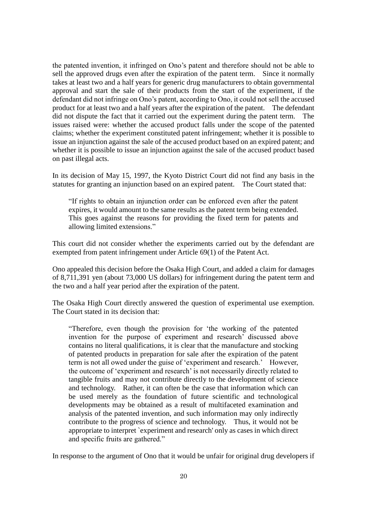the patented invention, it infringed on Ono's patent and therefore should not be able to sell the approved drugs even after the expiration of the patent term. Since it normally takes at least two and a half years for generic drug manufacturers to obtain governmental approval and start the sale of their products from the start of the experiment, if the defendant did not infringe on Ono's patent, according to Ono, it could not sell the accused product for at least two and a half years after the expiration of the patent. The defendant did not dispute the fact that it carried out the experiment during the patent term. The issues raised were: whether the accused product falls under the scope of the patented claims; whether the experiment constituted patent infringement; whether it is possible to issue an injunction against the sale of the accused product based on an expired patent; and whether it is possible to issue an injunction against the sale of the accused product based on past illegal acts.

In its decision of May 15, 1997, the Kyoto District Court did not find any basis in the statutes for granting an injunction based on an expired patent. The Court stated that:

"If rights to obtain an injunction order can be enforced even after the patent expires, it would amount to the same results as the patent term being extended. This goes against the reasons for providing the fixed term for patents and allowing limited extensions."

This court did not consider whether the experiments carried out by the defendant are exempted from patent infringement under Article 69(1) of the Patent Act.

Ono appealed this decision before the Osaka High Court, and added a claim for damages of 8,711,391 yen (about 73,000 US dollars) for infringement during the patent term and the two and a half year period after the expiration of the patent.

The Osaka High Court directly answered the question of experimental use exemption. The Court stated in its decision that:

"Therefore, even though the provision for 'the working of the patented invention for the purpose of experiment and research' discussed above contains no literal qualifications, it is clear that the manufacture and stocking of patented products in preparation for sale after the expiration of the patent term is not all owed under the guise of 'experiment and research.' However, the outcome of 'experiment and research' is not necessarily directly related to tangible fruits and may not contribute directly to the development of science and technology. Rather, it can often be the case that information which can be used merely as the foundation of future scientific and technological developments may be obtained as a result of multifaceted examination and analysis of the patented invention, and such information may only indirectly contribute to the progress of science and technology. Thus, it would not be appropriate to interpret `experiment and research' only as cases in which direct and specific fruits are gathered."

In response to the argument of Ono that it would be unfair for original drug developers if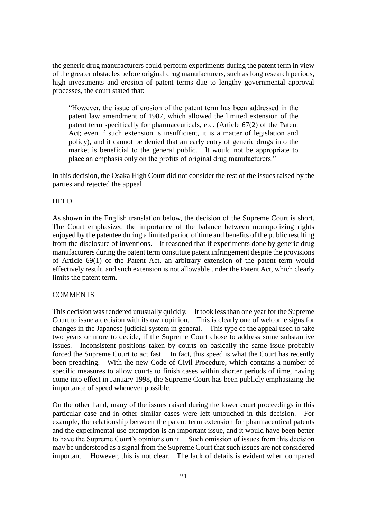the generic drug manufacturers could perform experiments during the patent term in view of the greater obstacles before original drug manufacturers, such as long research periods, high investments and erosion of patent terms due to lengthy governmental approval processes, the court stated that:

"However, the issue of erosion of the patent term has been addressed in the patent law amendment of 1987, which allowed the limited extension of the patent term specifically for pharmaceuticals, etc. (Article 67(2) of the Patent Act; even if such extension is insufficient, it is a matter of legislation and policy), and it cannot be denied that an early entry of generic drugs into the market is beneficial to the general public. It would not be appropriate to place an emphasis only on the profits of original drug manufacturers."

In this decision, the Osaka High Court did not consider the rest of the issues raised by the parties and rejected the appeal.

#### HELD

As shown in the English translation below, the decision of the Supreme Court is short. The Court emphasized the importance of the balance between monopolizing rights enjoyed by the patentee during a limited period of time and benefits of the public resulting from the disclosure of inventions. It reasoned that if experiments done by generic drug manufacturers during the patent term constitute patent infringement despite the provisions of Article 69(1) of the Patent Act, an arbitrary extension of the patent term would effectively result, and such extension is not allowable under the Patent Act, which clearly limits the patent term.

#### **COMMENTS**

This decision was rendered unusually quickly. It took less than one year for the Supreme Court to issue a decision with its own opinion. This is clearly one of welcome signs for changes in the Japanese judicial system in general. This type of the appeal used to take two years or more to decide, if the Supreme Court chose to address some substantive issues. Inconsistent positions taken by courts on basically the same issue probably forced the Supreme Court to act fast. In fact, this speed is what the Court has recently been preaching. With the new Code of Civil Procedure, which contains a number of specific measures to allow courts to finish cases within shorter periods of time, having come into effect in January 1998, the Supreme Court has been publicly emphasizing the importance of speed whenever possible.

On the other hand, many of the issues raised during the lower court proceedings in this particular case and in other similar cases were left untouched in this decision. For example, the relationship between the patent term extension for pharmaceutical patents and the experimental use exemption is an important issue, and it would have been better to have the Supreme Court's opinions on it. Such omission of issues from this decision may be understood as a signal from the Supreme Court that such issues are not considered important. However, this is not clear. The lack of details is evident when compared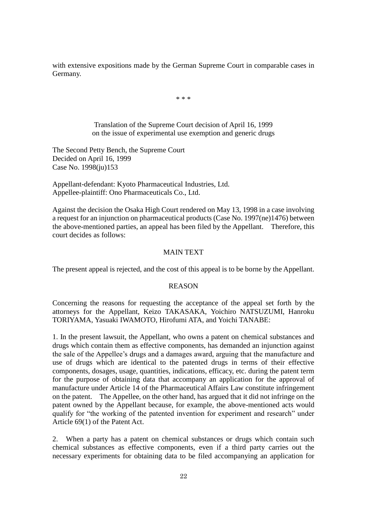with extensive expositions made by the German Supreme Court in comparable cases in Germany.

\* \* \*

Translation of the Supreme Court decision of April 16, 1999 on the issue of experimental use exemption and generic drugs

The Second Petty Bench, the Supreme Court Decided on April 16, 1999 Case No. 1998(ju)153

Appellant-defendant: Kyoto Pharmaceutical Industries, Ltd. Appellee-plaintiff: Ono Pharmaceuticals Co., Ltd.

Against the decision the Osaka High Court rendered on May 13, 1998 in a case involving a request for an injunction on pharmaceutical products (Case No. 1997(ne)1476) between the above-mentioned parties, an appeal has been filed by the Appellant. Therefore, this court decides as follows:

#### MAIN TEXT

The present appeal is rejected, and the cost of this appeal is to be borne by the Appellant.

#### REASON

Concerning the reasons for requesting the acceptance of the appeal set forth by the attorneys for the Appellant, Keizo TAKASAKA, Yoichiro NATSUZUMI, Hanroku TORIYAMA, Yasuaki IWAMOTO, Hirofumi ATA, and Yoichi TANABE:

1. In the present lawsuit, the Appellant, who owns a patent on chemical substances and drugs which contain them as effective components, has demanded an injunction against the sale of the Appellee's drugs and a damages award, arguing that the manufacture and use of drugs which are identical to the patented drugs in terms of their effective components, dosages, usage, quantities, indications, efficacy, etc. during the patent term for the purpose of obtaining data that accompany an application for the approval of manufacture under Article 14 of the Pharmaceutical Affairs Law constitute infringement on the patent. The Appellee, on the other hand, has argued that it did not infringe on the patent owned by the Appellant because, for example, the above-mentioned acts would qualify for "the working of the patented invention for experiment and research" under Article 69(1) of the Patent Act.

2. When a party has a patent on chemical substances or drugs which contain such chemical substances as effective components, even if a third party carries out the necessary experiments for obtaining data to be filed accompanying an application for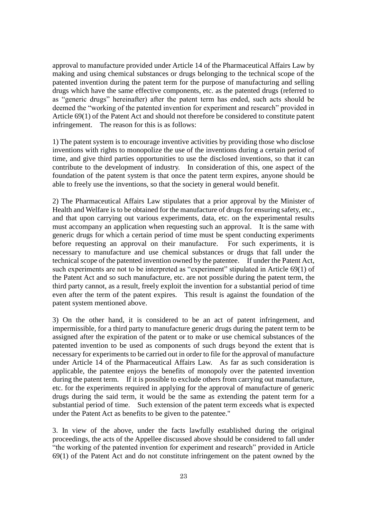approval to manufacture provided under Article 14 of the Pharmaceutical Affairs Law by making and using chemical substances or drugs belonging to the technical scope of the patented invention during the patent term for the purpose of manufacturing and selling drugs which have the same effective components, etc. as the patented drugs (referred to as "generic drugs" hereinafter) after the patent term has ended, such acts should be deemed the "working of the patented invention for experiment and research" provided in Article 69(1) of the Patent Act and should not therefore be considered to constitute patent infringement. The reason for this is as follows:

1) The patent system is to encourage inventive activities by providing those who disclose inventions with rights to monopolize the use of the inventions during a certain period of time, and give third parties opportunities to use the disclosed inventions, so that it can contribute to the development of industry. In consideration of this, one aspect of the foundation of the patent system is that once the patent term expires, anyone should be able to freely use the inventions, so that the society in general would benefit.

2) The Pharmaceutical Affairs Law stipulates that a prior approval by the Minister of Health and Welfare is to be obtained for the manufacture of drugs for ensuring safety, etc., and that upon carrying out various experiments, data, etc. on the experimental results must accompany an application when requesting such an approval. It is the same with generic drugs for which a certain period of time must be spent conducting experiments before requesting an approval on their manufacture. For such experiments, it is necessary to manufacture and use chemical substances or drugs that fall under the technical scope of the patented invention owned by the patentee. If under the Patent Act, such experiments are not to be interpreted as "experiment" stipulated in Article 69(1) of the Patent Act and so such manufacture, etc. are not possible during the patent term, the third party cannot, as a result, freely exploit the invention for a substantial period of time even after the term of the patent expires. This result is against the foundation of the patent system mentioned above.

3) On the other hand, it is considered to be an act of patent infringement, and impermissible, for a third party to manufacture generic drugs during the patent term to be assigned after the expiration of the patent or to make or use chemical substances of the patented invention to be used as components of such drugs beyond the extent that is necessary for experiments to be carried out in order to file for the approval of manufacture under Article 14 of the Pharmaceutical Affairs Law. As far as such consideration is applicable, the patentee enjoys the benefits of monopoly over the patented invention during the patent term. If it is possible to exclude others from carrying out manufacture, etc. for the experiments required in applying for the approval of manufacture of generic drugs during the said term, it would be the same as extending the patent term for a substantial period of time. Such extension of the patent term exceeds what is expected under the Patent Act as benefits to be given to the patentee."

3. In view of the above, under the facts lawfully established during the original proceedings, the acts of the Appellee discussed above should be considered to fall under "the working of the patented invention for experiment and research" provided in Article 69(1) of the Patent Act and do not constitute infringement on the patent owned by the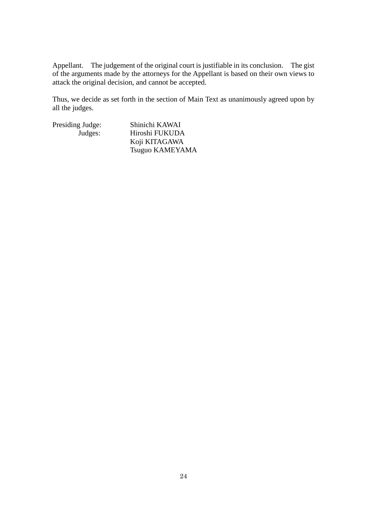Appellant. The judgement of the original court is justifiable in its conclusion. The gist of the arguments made by the attorneys for the Appellant is based on their own views to attack the original decision, and cannot be accepted.

Thus, we decide as set forth in the section of Main Text as unanimously agreed upon by all the judges.

Presiding Judge: Shinichi KAWAI<br>Judges: Hiroshi FUKUDA Hiroshi FUKUDA Koji KITAGAWA Tsuguo KAMEYAMA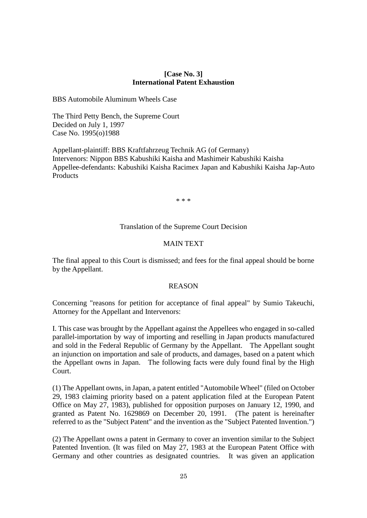#### **[Case No. 3] International Patent Exhaustion**

BBS Automobile Aluminum Wheels Case

The Third Petty Bench, the Supreme Court Decided on July 1, 1997 Case No. 1995(o)1988

Appellant-plaintiff: BBS Kraftfahrzeug Technik AG (of Germany) Intervenors: Nippon BBS Kabushiki Kaisha and Mashimeir Kabushiki Kaisha Appellee-defendants: Kabushiki Kaisha Racimex Japan and Kabushiki Kaisha Jap-Auto Products

\* \* \*

#### Translation of the Supreme Court Decision

#### MAIN TEXT

The final appeal to this Court is dismissed; and fees for the final appeal should be borne by the Appellant.

#### REASON

Concerning "reasons for petition for acceptance of final appeal" by Sumio Takeuchi, Attorney for the Appellant and Intervenors:

I. This case was brought by the Appellant against the Appellees who engaged in so-called parallel-importation by way of importing and reselling in Japan products manufactured and sold in the Federal Republic of Germany by the Appellant. The Appellant sought an injunction on importation and sale of products, and damages, based on a patent which the Appellant owns in Japan. The following facts were duly found final by the High Court.

(1) The Appellant owns, in Japan, a patent entitled "Automobile Wheel" (filed on October 29, 1983 claiming priority based on a patent application filed at the European Patent Office on May 27, 1983), published for opposition purposes on January 12, 1990, and granted as Patent No. 1629869 on December 20, 1991. (The patent is hereinafter referred to as the "Subject Patent" and the invention as the "Subject Patented Invention.")

(2) The Appellant owns a patent in Germany to cover an invention similar to the Subject Patented Invention. (It was filed on May 27, 1983 at the European Patent Office with Germany and other countries as designated countries. It was given an application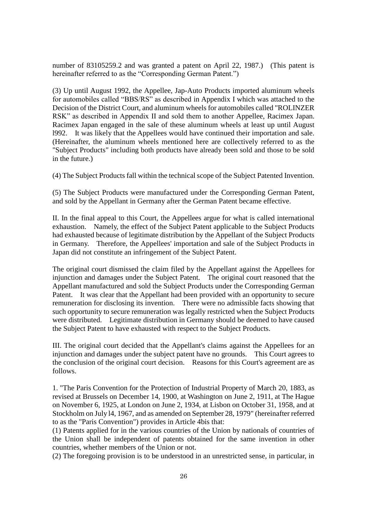number of 83105259.2 and was granted a patent on April 22, 1987.) (This patent is hereinafter referred to as the "Corresponding German Patent.")

(3) Up until August 1992, the Appellee, Jap-Auto Products imported aluminum wheels for automobiles called "BBS/RS" as described in Appendix I which was attached to the Decision of the District Court, and aluminum wheels for automobiles called "ROLINZER RSK" as described in Appendix II and sold them to another Appellee, Racimex Japan. Racimex Japan engaged in the sale of these aluminum wheels at least up until August l992. It was likely that the Appellees would have continued their importation and sale. (Hereinafter, the aluminum wheels mentioned here are collectively referred to as the "Subject Products" including both products have already been sold and those to be sold in the future.)

(4) The Subject Products fall within the technical scope of the Subject Patented Invention.

(5) The Subject Products were manufactured under the Corresponding German Patent, and sold by the Appellant in Germany after the German Patent became effective.

II. In the final appeal to this Court, the Appellees argue for what is called international exhaustion. Namely, the effect of the Subject Patent applicable to the Subject Products had exhausted because of legitimate distribution by the Appellant of the Subject Products in Germany. Therefore, the Appellees' importation and sale of the Subject Products in Japan did not constitute an infringement of the Subject Patent.

The original court dismissed the claim filed by the Appellant against the Appellees for injunction and damages under the Subject Patent. The original court reasoned that the Appellant manufactured and sold the Subject Products under the Corresponding German Patent. It was clear that the Appellant had been provided with an opportunity to secure remuneration for disclosing its invention. There were no admissible facts showing that such opportunity to secure remuneration was legally restricted when the Subject Products were distributed. Legitimate distribution in Germany should be deemed to have caused the Subject Patent to have exhausted with respect to the Subject Products.

III. The original court decided that the Appellant's claims against the Appellees for an injunction and damages under the subject patent have no grounds. This Court agrees to the conclusion of the original court decision. Reasons for this Court's agreement are as follows.

1. "The Paris Convention for the Protection of Industrial Property of March 20, 1883, as revised at Brussels on December 14, 1900, at Washington on June 2, 1911, at The Hague on November 6, 1925, at London on June 2, 1934, at Lisbon on October 31, 1958, and at Stockholm on July l4, 1967, and as amended on September 28, 1979" (hereinafter referred to as the "Paris Convention") provides in Article 4bis that:

(1) Patents applied for in the various countries of the Union by nationals of countries of the Union shall be independent of patents obtained for the same invention in other countries, whether members of the Union or not.

(2) The foregoing provision is to be understood in an unrestricted sense, in particular, in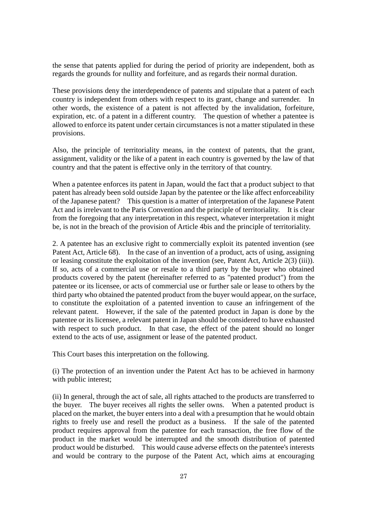the sense that patents applied for during the period of priority are independent, both as regards the grounds for nullity and forfeiture, and as regards their normal duration.

These provisions deny the interdependence of patents and stipulate that a patent of each country is independent from others with respect to its grant, change and surrender. In other words, the existence of a patent is not affected by the invalidation, forfeiture, expiration, etc. of a patent in a different country. The question of whether a patentee is allowed to enforce its patent under certain circumstances is not a matter stipulated in these provisions.

Also, the principle of territoriality means, in the context of patents, that the grant, assignment, validity or the like of a patent in each country is governed by the law of that country and that the patent is effective only in the territory of that country.

When a patentee enforces its patent in Japan, would the fact that a product subject to that patent has already been sold outside Japan by the patentee or the like affect enforceability of the Japanese patent? This question is a matter of interpretation of the Japanese Patent Act and is irrelevant to the Paris Convention and the principle of territoriality. It is clear from the foregoing that any interpretation in this respect, whatever interpretation it might be, is not in the breach of the provision of Article 4bis and the principle of territoriality.

2. A patentee has an exclusive right to commercially exploit its patented invention (see Patent Act, Article 68). In the case of an invention of a product, acts of using, assigning or leasing constitute the exploitation of the invention (see, Patent Act, Article 2(3) (iii)). If so, acts of a commercial use or resale to a third party by the buyer who obtained products covered by the patent (hereinafter referred to as "patented product") from the patentee or its licensee, or acts of commercial use or further sale or lease to others by the third party who obtained the patented product from the buyer would appear, on the surface, to constitute the exploitation of a patented invention to cause an infringement of the relevant patent. However, if the sale of the patented product in Japan is done by the patentee or its licensee, a relevant patent in Japan should be considered to have exhausted with respect to such product. In that case, the effect of the patent should no longer extend to the acts of use, assignment or lease of the patented product.

This Court bases this interpretation on the following.

(i) The protection of an invention under the Patent Act has to be achieved in harmony with public interest;

(ii) In general, through the act of sale, all rights attached to the products are transferred to the buyer. The buyer receives all rights the seller owns. When a patented product is placed on the market, the buyer enters into a deal with a presumption that he would obtain rights to freely use and resell the product as a business. If the sale of the patented product requires approval from the patentee for each transaction, the free flow of the product in the market would be interrupted and the smooth distribution of patented product would be disturbed. This would cause adverse effects on the patentee's interests and would be contrary to the purpose of the Patent Act, which aims at encouraging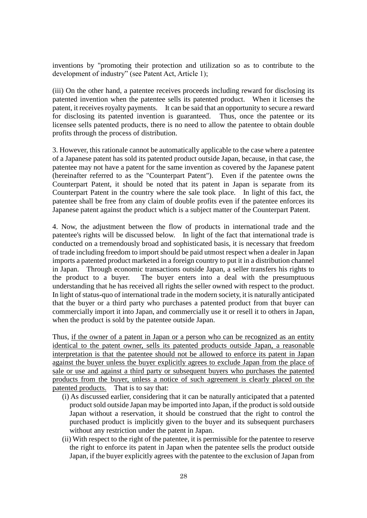inventions by "promoting their protection and utilization so as to contribute to the development of industry" (see Patent Act, Article 1);

(iii) On the other hand, a patentee receives proceeds including reward for disclosing its patented invention when the patentee sells its patented product. When it licenses the patent, it receives royalty payments. It can be said that an opportunity to secure a reward for disclosing its patented invention is guaranteed. Thus, once the patentee or its licensee sells patented products, there is no need to allow the patentee to obtain double profits through the process of distribution.

3. However, this rationale cannot be automatically applicable to the case where a patentee of a Japanese patent has sold its patented product outside Japan, because, in that case, the patentee may not have a patent for the same invention as covered by the Japanese patent (hereinafter referred to as the "Counterpart Patent"). Even if the patentee owns the Counterpart Patent, it should be noted that its patent in Japan is separate from its Counterpart Patent in the country where the sale took place. In light of this fact, the patentee shall be free from any claim of double profits even if the patentee enforces its Japanese patent against the product which is a subject matter of the Counterpart Patent.

4. Now, the adjustment between the flow of products in international trade and the patentee's rights will be discussed below. In light of the fact that international trade is conducted on a tremendously broad and sophisticated basis, it is necessary that freedom of trade including freedom to import should be paid utmost respect when a dealer in Japan imports a patented product marketed in a foreign country to put it in a distribution channel in Japan. Through economic transactions outside Japan, a seller transfers his rights to the product to a buyer. The buyer enters into a deal with the presumptuous understanding that he has received all rights the seller owned with respect to the product. In light of status-quo of international trade in the modern society, it is naturally anticipated that the buyer or a third party who purchases a patented product from that buyer can commercially import it into Japan, and commercially use it or resell it to others in Japan, when the product is sold by the patentee outside Japan.

Thus, if the owner of a patent in Japan or a person who can be recognized as an entity identical to the patent owner, sells its patented products outside Japan, a reasonable interpretation is that the patentee should not be allowed to enforce its patent in Japan against the buyer unless the buyer explicitly agrees to exclude Japan from the place of sale or use and against a third party or subsequent buyers who purchases the patented products from the buyer, unless a notice of such agreement is clearly placed on the patented products. That is to say that:

- (i) As discussed earlier, considering that it can be naturally anticipated that a patented product sold outside Japan may be imported into Japan, if the product is sold outside Japan without a reservation, it should be construed that the right to control the purchased product is implicitly given to the buyer and its subsequent purchasers without any restriction under the patent in Japan.
- (ii) With respect to the right of the patentee, it is permissible for the patentee to reserve the right to enforce its patent in Japan when the patentee sells the product outside Japan, if the buyer explicitly agrees with the patentee to the exclusion of Japan from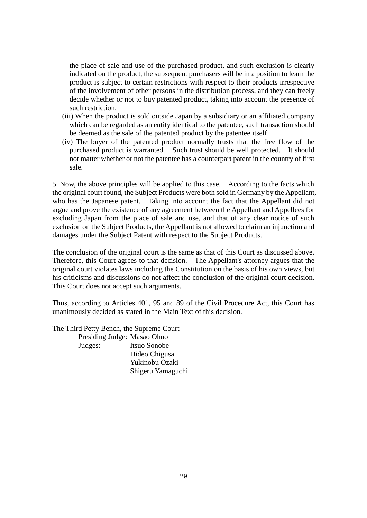the place of sale and use of the purchased product, and such exclusion is clearly indicated on the product, the subsequent purchasers will be in a position to learn the product is subject to certain restrictions with respect to their products irrespective of the involvement of other persons in the distribution process, and they can freely decide whether or not to buy patented product, taking into account the presence of such restriction.

- (iii) When the product is sold outside Japan by a subsidiary or an affiliated company which can be regarded as an entity identical to the patentee, such transaction should be deemed as the sale of the patented product by the patentee itself.
- (iv) The buyer of the patented product normally trusts that the free flow of the purchased product is warranted. Such trust should be well protected. It should not matter whether or not the patentee has a counterpart patent in the country of first sale.

5. Now, the above principles will be applied to this case. According to the facts which the original court found, the Subject Products were both sold in Germany by the Appellant, who has the Japanese patent. Taking into account the fact that the Appellant did not argue and prove the existence of any agreement between the Appellant and Appellees for excluding Japan from the place of sale and use, and that of any clear notice of such exclusion on the Subject Products, the Appellant is not allowed to claim an injunction and damages under the Subject Patent with respect to the Subject Products.

The conclusion of the original court is the same as that of this Court as discussed above. Therefore, this Court agrees to that decision. The Appellant's attorney argues that the original court violates laws including the Constitution on the basis of his own views, but his criticisms and discussions do not affect the conclusion of the original court decision. This Court does not accept such arguments.

Thus, according to Articles 401, 95 and 89 of the Civil Procedure Act, this Court has unanimously decided as stated in the Main Text of this decision.

The Third Petty Bench, the Supreme Court Presiding Judge: Masao Ohno Judges: Itsuo Sonobe Hideo Chigusa Yukinobu Ozaki Shigeru Yamaguchi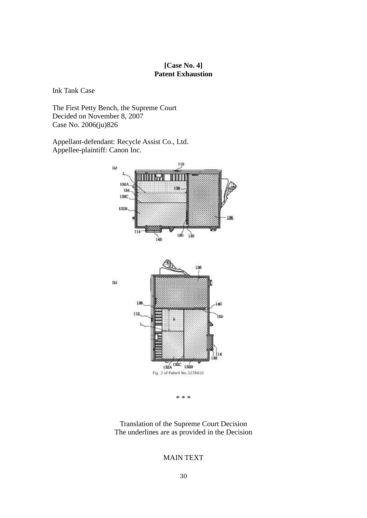# **[Case No. 4] Patent Exhaustion**

Ink Tank Case

The First Petty Bench, the Supreme Court Decided on November 8, 2007 Case No. 2006(ju)826

Appellant-defendant: Recycle Assist Co., Ltd. Appellee-plaintiff: Canon Inc.



\* \* \*

Translation of the Supreme Court Decision The underlines are as provided in the Decision

#### MAIN TEXT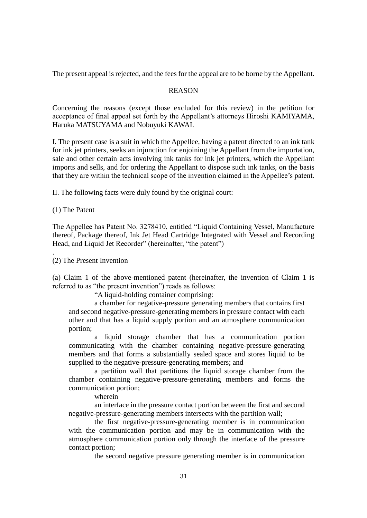The present appeal is rejected, and the fees for the appeal are to be borne by the Appellant.

#### REASON

Concerning the reasons (except those excluded for this review) in the petition for acceptance of final appeal set forth by the Appellant's attorneys Hiroshi KAMIYAMA, Haruka MATSUYAMA and Nobuyuki KAWAI.

I. The present case is a suit in which the Appellee, having a patent directed to an ink tank for ink jet printers, seeks an injunction for enjoining the Appellant from the importation, sale and other certain acts involving ink tanks for ink jet printers, which the Appellant imports and sells, and for ordering the Appellant to dispose such ink tanks, on the basis that they are within the technical scope of the invention claimed in the Appellee's patent.

II. The following facts were duly found by the original court:

(1) The Patent

.

The Appellee has Patent No. 3278410, entitled "Liquid Containing Vessel, Manufacture thereof, Package thereof, Ink Jet Head Cartridge Integrated with Vessel and Recording Head, and Liquid Jet Recorder" (hereinafter, "the patent")

(2) The Present Invention

(a) Claim 1 of the above-mentioned patent (hereinafter, the invention of Claim 1 is referred to as "the present invention") reads as follows:

"A liquid-holding container comprising:

a chamber for negative-pressure generating members that contains first and second negative-pressure-generating members in pressure contact with each other and that has a liquid supply portion and an atmosphere communication portion;

a liquid storage chamber that has a communication portion communicating with the chamber containing negative-pressure-generating members and that forms a substantially sealed space and stores liquid to be supplied to the negative-pressure-generating members; and

a partition wall that partitions the liquid storage chamber from the chamber containing negative-pressure-generating members and forms the communication portion;

wherein

an interface in the pressure contact portion between the first and second negative-pressure-generating members intersects with the partition wall;

the first negative-pressure-generating member is in communication with the communication portion and may be in communication with the atmosphere communication portion only through the interface of the pressure contact portion;

the second negative pressure generating member is in communication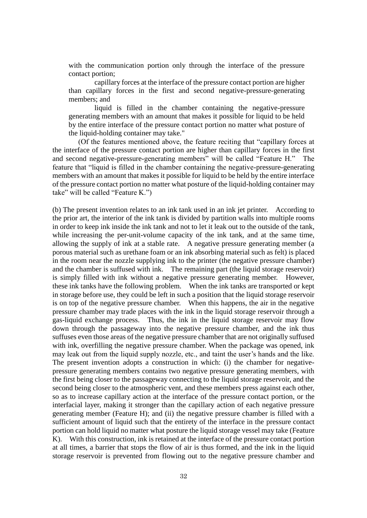with the communication portion only through the interface of the pressure contact portion;

capillary forces at the interface of the pressure contact portion are higher than capillary forces in the first and second negative-pressure-generating members; and

liquid is filled in the chamber containing the negative-pressure generating members with an amount that makes it possible for liquid to be held by the entire interface of the pressure contact portion no matter what posture of the liquid-holding container may take."

(Of the features mentioned above, the feature reciting that "capillary forces at the interface of the pressure contact portion are higher than capillary forces in the first and second negative-pressure-generating members" will be called "Feature H." The feature that "liquid is filled in the chamber containing the negative-pressure-generating members with an amount that makes it possible for liquid to be held by the entire interface of the pressure contact portion no matter what posture of the liquid-holding container may take" will be called "Feature K.")

(b) The present invention relates to an ink tank used in an ink jet printer. According to the prior art, the interior of the ink tank is divided by partition walls into multiple rooms in order to keep ink inside the ink tank and not to let it leak out to the outside of the tank, while increasing the per-unit-volume capacity of the ink tank, and at the same time, allowing the supply of ink at a stable rate. A negative pressure generating member (a porous material such as urethane foam or an ink absorbing material such as felt) is placed in the room near the nozzle supplying ink to the printer (the negative pressure chamber) and the chamber is suffused with ink. The remaining part (the liquid storage reservoir) is simply filled with ink without a negative pressure generating member. However, these ink tanks have the following problem. When the ink tanks are transported or kept in storage before use, they could be left in such a position that the liquid storage reservoir is on top of the negative pressure chamber. When this happens, the air in the negative pressure chamber may trade places with the ink in the liquid storage reservoir through a gas-liquid exchange process. Thus, the ink in the liquid storage reservoir may flow down through the passageway into the negative pressure chamber, and the ink thus suffuses even those areas of the negative pressure chamber that are not originally suffused with ink, overfilling the negative pressure chamber. When the package was opened, ink may leak out from the liquid supply nozzle, etc., and taint the user's hands and the like. The present invention adopts a construction in which: (i) the chamber for negativepressure generating members contains two negative pressure generating members, with the first being closer to the passageway connecting to the liquid storage reservoir, and the second being closer to the atmospheric vent, and these members press against each other, so as to increase capillary action at the interface of the pressure contact portion, or the interfacial layer, making it stronger than the capillary action of each negative pressure generating member (Feature H); and (ii) the negative pressure chamber is filled with a sufficient amount of liquid such that the entirety of the interface in the pressure contact portion can hold liquid no matter what posture the liquid storage vessel may take (Feature K). With this construction, ink is retained at the interface of the pressure contact portion at all times, a barrier that stops the flow of air is thus formed, and the ink in the liquid storage reservoir is prevented from flowing out to the negative pressure chamber and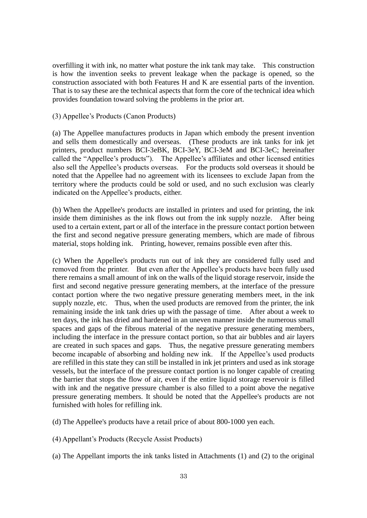overfilling it with ink, no matter what posture the ink tank may take. This construction is how the invention seeks to prevent leakage when the package is opened, so the construction associated with both Features H and K are essential parts of the invention. That is to say these are the technical aspects that form the core of the technical idea which provides foundation toward solving the problems in the prior art.

#### (3) Appellee's Products (Canon Products)

(a) The Appellee manufactures products in Japan which embody the present invention and sells them domestically and overseas. (These products are ink tanks for ink jet printers, product numbers BCI-3eBK, BCI-3eY, BCI-3eM and BCI-3eC; hereinafter called the "Appellee's products"). The Appellee's affiliates and other licensed entities also sell the Appellee's products overseas. For the products sold overseas it should be noted that the Appellee had no agreement with its licensees to exclude Japan from the territory where the products could be sold or used, and no such exclusion was clearly indicated on the Appellee's products, either.

(b) When the Appellee's products are installed in printers and used for printing, the ink inside them diminishes as the ink flows out from the ink supply nozzle. After being used to a certain extent, part or all of the interface in the pressure contact portion between the first and second negative pressure generating members, which are made of fibrous material, stops holding ink. Printing, however, remains possible even after this.

(c) When the Appellee's products run out of ink they are considered fully used and removed from the printer. But even after the Appellee's products have been fully used there remains a small amount of ink on the walls of the liquid storage reservoir, inside the first and second negative pressure generating members, at the interface of the pressure contact portion where the two negative pressure generating members meet, in the ink supply nozzle, etc. Thus, when the used products are removed from the printer, the ink remaining inside the ink tank dries up with the passage of time. After about a week to ten days, the ink has dried and hardened in an uneven manner inside the numerous small spaces and gaps of the fibrous material of the negative pressure generating members, including the interface in the pressure contact portion, so that air bubbles and air layers are created in such spaces and gaps. Thus, the negative pressure generating members become incapable of absorbing and holding new ink. If the Appellee's used products are refilled in this state they can still be installed in ink jet printers and used as ink storage vessels, but the interface of the pressure contact portion is no longer capable of creating the barrier that stops the flow of air, even if the entire liquid storage reservoir is filled with ink and the negative pressure chamber is also filled to a point above the negative pressure generating members. It should be noted that the Appellee's products are not furnished with holes for refilling ink.

(d) The Appellee's products have a retail price of about 800-1000 yen each.

(4) Appellant's Products (Recycle Assist Products)

(a) The Appellant imports the ink tanks listed in Attachments (1) and (2) to the original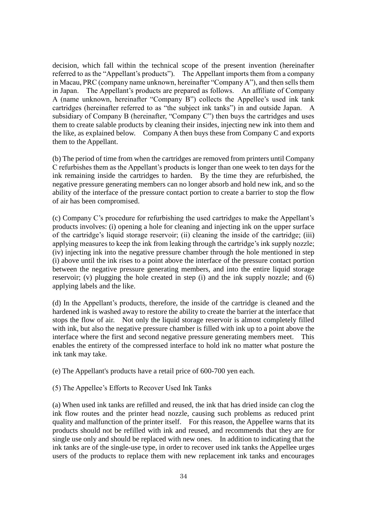decision, which fall within the technical scope of the present invention (hereinafter referred to as the "Appellant's products"). The Appellant imports them from a company in Macau, PRC (company name unknown, hereinafter "Company A"), and then sells them in Japan. The Appellant's products are prepared as follows. An affiliate of Company A (name unknown, hereinafter "Company B") collects the Appellee's used ink tank cartridges (hereinafter referred to as "the subject ink tanks") in and outside Japan. A subsidiary of Company B (hereinafter, "Company C") then buys the cartridges and uses them to create salable products by cleaning their insides, injecting new ink into them and the like, as explained below. Company A then buys these from Company C and exports them to the Appellant.

(b) The period of time from when the cartridges are removed from printers until Company C refurbishes them as the Appellant's products is longer than one week to ten days for the ink remaining inside the cartridges to harden. By the time they are refurbished, the negative pressure generating members can no longer absorb and hold new ink, and so the ability of the interface of the pressure contact portion to create a barrier to stop the flow of air has been compromised.

(c) Company C's procedure for refurbishing the used cartridges to make the Appellant's products involves: (i) opening a hole for cleaning and injecting ink on the upper surface of the cartridge's liquid storage reservoir; (ii) cleaning the inside of the cartridge; (iii) applying measures to keep the ink from leaking through the cartridge's ink supply nozzle; (iv) injecting ink into the negative pressure chamber through the hole mentioned in step (i) above until the ink rises to a point above the interface of the pressure contact portion between the negative pressure generating members, and into the entire liquid storage reservoir; (v) plugging the hole created in step (i) and the ink supply nozzle; and (6) applying labels and the like.

(d) In the Appellant's products, therefore, the inside of the cartridge is cleaned and the hardened ink is washed away to restore the ability to create the barrier at the interface that stops the flow of air. Not only the liquid storage reservoir is almost completely filled with ink, but also the negative pressure chamber is filled with ink up to a point above the interface where the first and second negative pressure generating members meet. This enables the entirety of the compressed interface to hold ink no matter what posture the ink tank may take.

(e) The Appellant's products have a retail price of 600-700 yen each.

(5) The Appellee's Efforts to Recover Used Ink Tanks

(a) When used ink tanks are refilled and reused, the ink that has dried inside can clog the ink flow routes and the printer head nozzle, causing such problems as reduced print quality and malfunction of the printer itself. For this reason, the Appellee warns that its products should not be refilled with ink and reused, and recommends that they are for single use only and should be replaced with new ones. In addition to indicating that the ink tanks are of the single-use type, in order to recover used ink tanks the Appellee urges users of the products to replace them with new replacement ink tanks and encourages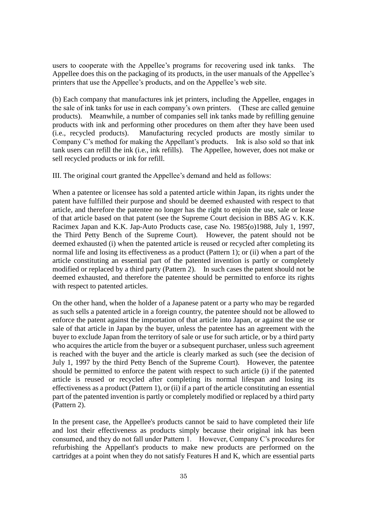users to cooperate with the Appellee's programs for recovering used ink tanks. The Appellee does this on the packaging of its products, in the user manuals of the Appellee's printers that use the Appellee's products, and on the Appellee's web site.

(b) Each company that manufactures ink jet printers, including the Appellee, engages in the sale of ink tanks for use in each company's own printers. (These are called genuine products). Meanwhile, a number of companies sell ink tanks made by refilling genuine products with ink and performing other procedures on them after they have been used (i.e., recycled products). Manufacturing recycled products are mostly similar to Company C's method for making the Appellant's products. Ink is also sold so that ink tank users can refill the ink (i.e., ink refills). The Appellee, however, does not make or sell recycled products or ink for refill.

III. The original court granted the Appellee's demand and held as follows:

When a patentee or licensee has sold a patented article within Japan, its rights under the patent have fulfilled their purpose and should be deemed exhausted with respect to that article, and therefore the patentee no longer has the right to enjoin the use, sale or lease of that article based on that patent (see the Supreme Court decision in BBS AG v. K.K. Racimex Japan and K.K. Jap-Auto Products case, case No. 1985(o)1988, July 1, 1997, the Third Petty Bench of the Supreme Court). However, the patent should not be deemed exhausted (i) when the patented article is reused or recycled after completing its normal life and losing its effectiveness as a product (Pattern 1); or (ii) when a part of the article constituting an essential part of the patented invention is partly or completely modified or replaced by a third party (Pattern 2). In such cases the patent should not be deemed exhausted, and therefore the patentee should be permitted to enforce its rights with respect to patented articles.

On the other hand, when the holder of a Japanese patent or a party who may be regarded as such sells a patented article in a foreign country, the patentee should not be allowed to enforce the patent against the importation of that article into Japan, or against the use or sale of that article in Japan by the buyer, unless the patentee has an agreement with the buyer to exclude Japan from the territory of sale or use for such article, or by a third party who acquires the article from the buyer or a subsequent purchaser, unless such agreement is reached with the buyer and the article is clearly marked as such (see the decision of July 1, 1997 by the third Petty Bench of the Supreme Court). However, the patentee should be permitted to enforce the patent with respect to such article (i) if the patented article is reused or recycled after completing its normal lifespan and losing its effectiveness as a product (Pattern 1), or (ii) if a part of the article constituting an essential part of the patented invention is partly or completely modified or replaced by a third party (Pattern 2).

In the present case, the Appellee's products cannot be said to have completed their life and lost their effectiveness as products simply because their original ink has been consumed, and they do not fall under Pattern 1. However, Company C's procedures for refurbishing the Appellant's products to make new products are performed on the cartridges at a point when they do not satisfy Features H and K, which are essential parts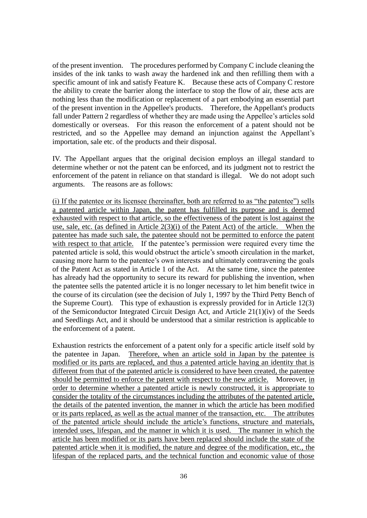of the present invention. The procedures performed by Company C include cleaning the insides of the ink tanks to wash away the hardened ink and then refilling them with a specific amount of ink and satisfy Feature K. Because these acts of Company C restore the ability to create the barrier along the interface to stop the flow of air, these acts are nothing less than the modification or replacement of a part embodying an essential part of the present invention in the Appellee's products. Therefore, the Appellant's products fall under Pattern 2 regardless of whether they are made using the Appellee's articles sold domestically or overseas. For this reason the enforcement of a patent should not be restricted, and so the Appellee may demand an injunction against the Appellant's importation, sale etc. of the products and their disposal.

IV. The Appellant argues that the original decision employs an illegal standard to determine whether or not the patent can be enforced, and its judgment not to restrict the enforcement of the patent in reliance on that standard is illegal. We do not adopt such arguments. The reasons are as follows:

(i) If the patentee or its licensee (hereinafter, both are referred to as "the patentee") sells a patented article within Japan, the patent has fulfilled its purpose and is deemed exhausted with respect to that article, so the effectiveness of the patent is lost against the use, sale, etc. (as defined in Article 2(3)(i) of the Patent Act) of the article. When the patentee has made such sale, the patentee should not be permitted to enforce the patent with respect to that article. If the patentee's permission were required every time the patented article is sold, this would obstruct the article's smooth circulation in the market, causing more harm to the patentee's own interests and ultimately contravening the goals of the Patent Act as stated in Article 1 of the Act. At the same time, since the patentee has already had the opportunity to secure its reward for publishing the invention, when the patentee sells the patented article it is no longer necessary to let him benefit twice in the course of its circulation (see the decision of July 1, 1997 by the Third Petty Bench of the Supreme Court). This type of exhaustion is expressly provided for in Article 12(3) of the Semiconductor Integrated Circuit Design Act, and Article 21(1)(iv) of the Seeds and Seedlings Act, and it should be understood that a similar restriction is applicable to the enforcement of a patent.

Exhaustion restricts the enforcement of a patent only for a specific article itself sold by the patentee in Japan. Therefore, when an article sold in Japan by the patentee is modified or its parts are replaced, and thus a patented article having an identity that is different from that of the patented article is considered to have been created, the patentee should be permitted to enforce the patent with respect to the new article. Moreover, in order to determine whether a patented article is newly constructed, it is appropriate to consider the totality of the circumstances including the attributes of the patented article, the details of the patented invention, the manner in which the article has been modified or its parts replaced, as well as the actual manner of the transaction, etc. The attributes of the patented article should include the article's functions, structure and materials, intended uses, lifespan, and the manner in which it is used. The manner in which the article has been modified or its parts have been replaced should include the state of the patented article when it is modified, the nature and degree of the modification, etc., the lifespan of the replaced parts, and the technical function and economic value of those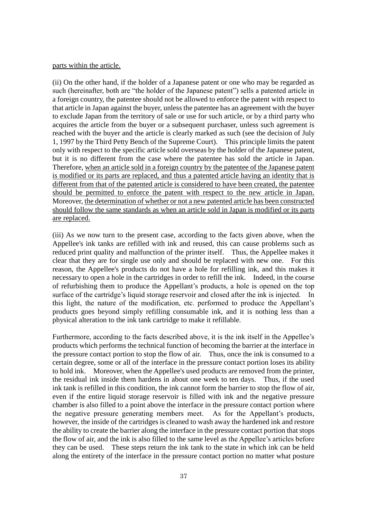#### parts within the article.

(ii) On the other hand, if the holder of a Japanese patent or one who may be regarded as such (hereinafter, both are "the holder of the Japanese patent") sells a patented article in a foreign country, the patentee should not be allowed to enforce the patent with respect to that article in Japan against the buyer, unless the patentee has an agreement with the buyer to exclude Japan from the territory of sale or use for such article, or by a third party who acquires the article from the buyer or a subsequent purchaser, unless such agreement is reached with the buyer and the article is clearly marked as such (see the decision of July 1, 1997 by the Third Petty Bench of the Supreme Court). This principle limits the patent only with respect to the specific article sold overseas by the holder of the Japanese patent, but it is no different from the case where the patentee has sold the article in Japan. Therefore, when an article sold in a foreign country by the patentee of the Japanese patent is modified or its parts are replaced, and thus a patented article having an identity that is different from that of the patented article is considered to have been created, the patentee should be permitted to enforce the patent with respect to the new article in Japan. Moreover, the determination of whether or not a new patented article has been constructed should follow the same standards as when an article sold in Japan is modified or its parts are replaced.

(iii) As we now turn to the present case, according to the facts given above, when the Appellee's ink tanks are refilled with ink and reused, this can cause problems such as reduced print quality and malfunction of the printer itself. Thus, the Appellee makes it clear that they are for single use only and should be replaced with new one. For this reason, the Appellee's products do not have a hole for refilling ink, and this makes it necessary to open a hole in the cartridges in order to refill the ink. Indeed, in the course of refurbishing them to produce the Appellant's products, a hole is opened on the top surface of the cartridge's liquid storage reservoir and closed after the ink is injected. In this light, the nature of the modification, etc. performed to produce the Appellant's products goes beyond simply refilling consumable ink, and it is nothing less than a physical alteration to the ink tank cartridge to make it refillable.

Furthermore, according to the facts described above, it is the ink itself in the Appellee's products which performs the technical function of becoming the barrier at the interface in the pressure contact portion to stop the flow of air. Thus, once the ink is consumed to a certain degree, some or all of the interface in the pressure contact portion loses its ability to hold ink. Moreover, when the Appellee's used products are removed from the printer, the residual ink inside them hardens in about one week to ten days. Thus, if the used ink tank is refilled in this condition, the ink cannot form the barrier to stop the flow of air, even if the entire liquid storage reservoir is filled with ink and the negative pressure chamber is also filled to a point above the interface in the pressure contact portion where the negative pressure generating members meet. As for the Appellant's products, however, the inside of the cartridges is cleaned to wash away the hardened ink and restore the ability to create the barrier along the interface in the pressure contact portion that stops the flow of air, and the ink is also filled to the same level as the Appellee's articles before they can be used. These steps return the ink tank to the state in which ink can be held along the entirety of the interface in the pressure contact portion no matter what posture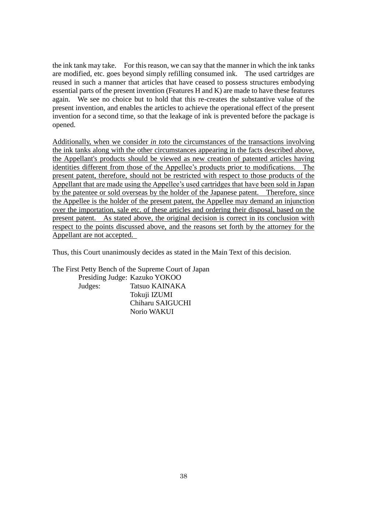the ink tank may take. For this reason, we can say that the manner in which the ink tanks are modified, etc. goes beyond simply refilling consumed ink. The used cartridges are reused in such a manner that articles that have ceased to possess structures embodying essential parts of the present invention (Features H and K) are made to have these features again. We see no choice but to hold that this re-creates the substantive value of the present invention, and enables the articles to achieve the operational effect of the present invention for a second time, so that the leakage of ink is prevented before the package is opened.

Additionally, when we consider *in toto* the circumstances of the transactions involving the ink tanks along with the other circumstances appearing in the facts described above, the Appellant's products should be viewed as new creation of patented articles having identities different from those of the Appellee's products prior to modifications. The present patent, therefore, should not be restricted with respect to those products of the Appellant that are made using the Appellee's used cartridges that have been sold in Japan by the patentee or sold overseas by the holder of the Japanese patent. Therefore, since the Appellee is the holder of the present patent, the Appellee may demand an injunction over the importation, sale etc. of these articles and ordering their disposal, based on the present patent. As stated above, the original decision is correct in its conclusion with respect to the points discussed above, and the reasons set forth by the attorney for the Appellant are not accepted.

Thus, this Court unanimously decides as stated in the Main Text of this decision.

The First Petty Bench of the Supreme Court of Japan Presiding Judge: Kazuko YOKOO Judges: Tatsuo KAINAKA Tokuji IZUMI Chiharu SAIGUCHI Norio WAKUI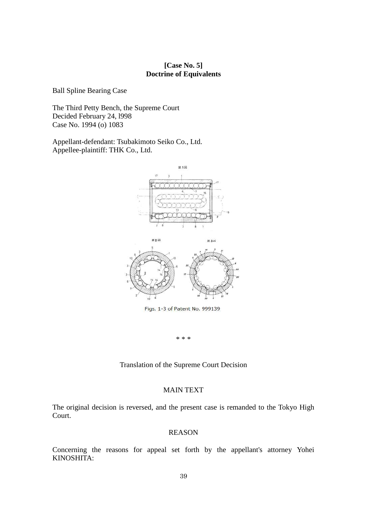#### **[Case No. 5] Doctrine of Equivalents**

Ball Spline Bearing Case

The Third Petty Bench, the Supreme Court Decided February 24, l998 Case No. 1994 (o) 1083

Appellant-defendant: Tsubakimoto Seiko Co., Ltd. Appellee-plaintiff: THK Co., Ltd.



\* \* \*

Translation of the Supreme Court Decision

#### MAIN TEXT

The original decision is reversed, and the present case is remanded to the Tokyo High Court.

#### REASON

Concerning the reasons for appeal set forth by the appellant's attorney Yohei KINOSHITA: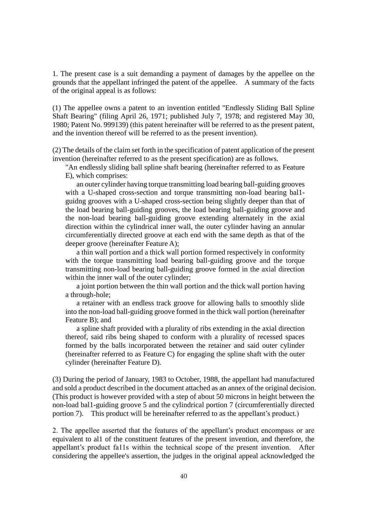1. The present case is a suit demanding a payment of damages by the appellee on the grounds that the appellant infringed the patent of the appellee. A summary of the facts of the original appeal is as follows:

(1) The appellee owns a patent to an invention entitled "Endlessly Sliding Ball Spline Shaft Bearing" (filing April 26, 1971; published July 7, 1978; and registered May 30, 1980; Patent No. 999139) (this patent hereinafter will be referred to as the present patent, and the invention thereof will be referred to as the present invention).

(2) The details of the claim set forth in the specification of patent application of the present invention (hereinafter referred to as the present specification) are as follows.

"An endlessly sliding ball spline shaft bearing (hereinafter referred to as Feature E), which comprises:

an outer cylinder having torque transmitting load bearing ball-guiding grooves with a U-shaped cross-section and torque transmitting non-load bearing ballguidng grooves with a U-shaped cross-section being slightly deeper than that of the load bearing ball-guiding grooves, the load bearing ball-guiding groove and the non-load bearing ball-guiding groove extending alternately in the axial direction within the cylindrical inner wall, the outer cylinder having an annular circumferentially directed groove at each end with the same depth as that of the deeper groove (hereinafter Feature A);

a thin wall portion and a thick wall portion formed respectively in conformity with the torque transmitting load bearing ball-guiding groove and the torque transmitting non-load bearing ball-guiding groove formed in the axial direction within the inner wall of the outer cylinder;

a joint portion between the thin wall portion and the thick wall portion having a through-hole;

a retainer with an endless track groove for allowing balls to smoothly slide into the non-load ball-guiding groove formed in the thick wall portion (hereinafter Feature B); and

a spline shaft provided with a plurality of ribs extending in the axial direction thereof, said ribs being shaped to conform with a plurality of recessed spaces formed by the balls incorporated between the retainer and said outer cylinder (hereinafter referred to as Feature C) for engaging the spline shaft with the outer cylinder (hereinafter Feature D).

(3) During the period of January, 1983 to October, 1988, the appellant had manufactured and sold a product described in the document attached as an annex of the original decision. (This product is however provided with a step of about 50 microns in height between the non-load bal1-guiding groove 5 and the cylindrical portion 7 (circumferentially directed portion 7). This product will be hereinafter referred to as the appellant's product.)

2. The appellee asserted that the features of the appellant's product encompass or are equivalent to al1 of the constituent features of the present invention, and therefore, the appellant's product fa11s within the technical scope of the present invention. After considering the appellee's assertion, the judges in the original appeal acknowledged the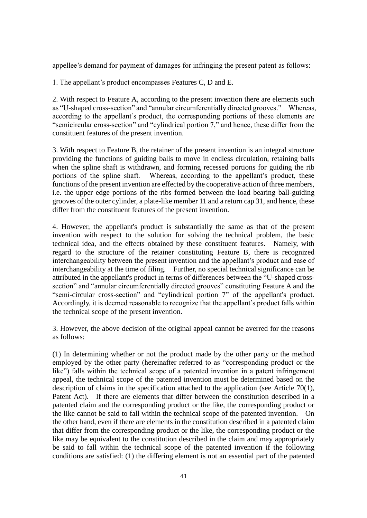appellee's demand for payment of damages for infringing the present patent as follows:

1. The appellant's product encompasses Features C, D and E.

2. With respect to Feature A, according to the present invention there are elements such as "U-shaped cross-section" and "annular circumferentially directed grooves." Whereas, according to the appellant's product, the corresponding portions of these elements are "semicircular cross-section" and "cylindrical portion 7," and hence, these differ from the constituent features of the present invention.

3. With respect to Feature B, the retainer of the present invention is an integral structure providing the functions of guiding balls to move in endless circulation, retaining balls when the spline shaft is withdrawn, and forming recessed portions for guiding the rib portions of the spline shaft. Whereas, according to the appellant's product, these functions of the present invention are effected by the cooperative action of three members, i.e. the upper edge portions of the ribs formed between the load bearing ball-guiding grooves of the outer cylinder, a plate-like member 11 and a return cap 31, and hence, these differ from the constituent features of the present invention.

4. However, the appellant's product is substantially the same as that of the present invention with respect to the solution for solving the technical problem, the basic technical idea, and the effects obtained by these constituent features. Namely, with regard to the structure of the retainer constituting Feature B, there is recognized interchangeability between the present invention and the appellant's product and ease of interchangeability at the time of filing. Further, no special technical significance can be attributed in the appellant's product in terms of differences between the "U-shaped crosssection" and "annular circumferentially directed grooves" constituting Feature A and the "semi-circular cross-section" and "cylindrical portion 7" of the appellant's product. Accordingly, it is deemed reasonable to recognize that the appellant's product falls within the technical scope of the present invention.

3. However, the above decision of the original appeal cannot be averred for the reasons as follows:

(1) In determining whether or not the product made by the other party or the method employed by the other party (hereinafter referred to as "corresponding product or the like") falls within the technical scope of a patented invention in a patent infringement appeal, the technical scope of the patented invention must be determined based on the description of claims in the specification attached to the application (see Article 70(1), Patent Act). If there are elements that differ between the constitution described in a patented claim and the corresponding product or the like, the corresponding product or the like cannot be said to fall within the technical scope of the patented invention. On the other hand, even if there are elements in the constitution described in a patented claim that differ from the corresponding product or the like, the corresponding product or the like may be equivalent to the constitution described in the claim and may appropriately be said to fall within the technical scope of the patented invention if the following conditions are satisfied: (1) the differing element is not an essential part of the patented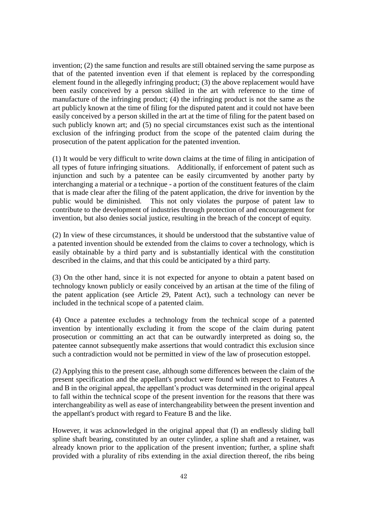invention; (2) the same function and results are still obtained serving the same purpose as that of the patented invention even if that element is replaced by the corresponding element found in the allegedly infringing product; (3) the above replacement would have been easily conceived by a person skilled in the art with reference to the time of manufacture of the infringing product; (4) the infringing product is not the same as the art publicly known at the time of filing for the disputed patent and it could not have been easily conceived by a person skilled in the art at the time of filing for the patent based on such publicly known art; and (5) no special circumstances exist such as the intentional exclusion of the infringing product from the scope of the patented claim during the prosecution of the patent application for the patented invention.

(1) It would be very difficult to write down claims at the time of filing in anticipation of all types of future infringing situations. Additionally, if enforcement of patent such as injunction and such by a patentee can be easily circumvented by another party by interchanging a material or a technique - a portion of the constituent features of the claim that is made clear after the filing of the patent application, the drive for invention by the public would be diminished. This not only violates the purpose of patent law to contribute to the development of industries through protection of and encouragement for invention, but also denies social justice, resulting in the breach of the concept of equity.

(2) In view of these circumstances, it should be understood that the substantive value of a patented invention should be extended from the claims to cover a technology, which is easily obtainable by a third party and is substantially identical with the constitution described in the claims, and that this could be anticipated by a third party.

(3) On the other hand, since it is not expected for anyone to obtain a patent based on technology known publicly or easily conceived by an artisan at the time of the filing of the patent application (see Article 29, Patent Act), such a technology can never be included in the technical scope of a patented claim.

(4) Once a patentee excludes a technology from the technical scope of a patented invention by intentionally excluding it from the scope of the claim during patent prosecution or committing an act that can be outwardly interpreted as doing so, the patentee cannot subsequently make assertions that would contradict this exclusion since such a contradiction would not be permitted in view of the law of prosecution estoppel.

(2) Applying this to the present case, although some differences between the claim of the present specification and the appellant's product were found with respect to Features A and B in the original appeal, the appellant's product was determined in the original appeal to fall within the technical scope of the present invention for the reasons that there was interchangeability as well as ease of interchangeability between the present invention and the appellant's product with regard to Feature B and the like.

However, it was acknowledged in the original appeal that (I) an endlessly sliding ball spline shaft bearing, constituted by an outer cylinder, a spline shaft and a retainer, was already known prior to the application of the present invention; further, a spline shaft provided with a plurality of ribs extending in the axial direction thereof, the ribs being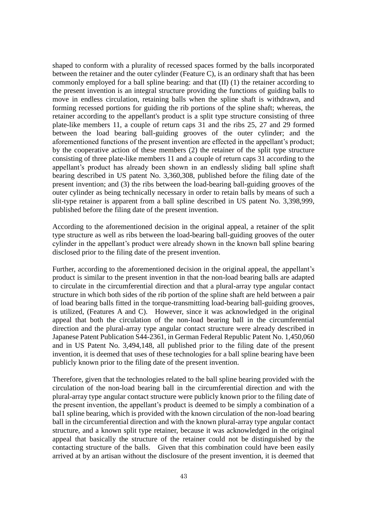shaped to conform with a plurality of recessed spaces formed by the balls incorporated between the retainer and the outer cylinder (Feature C), is an ordinary shaft that has been commonly employed for a ball spline bearing: and that (II) (1) the retainer according to the present invention is an integral structure providing the functions of guiding balls to move in endless circulation, retaining balls when the spline shaft is withdrawn, and forming recessed portions for guiding the rib portions of the spline shaft; whereas, the retainer according to the appellant's product is a split type structure consisting of three plate-like members 11, a couple of return caps 31 and the ribs 25, 27 and 29 formed between the load bearing ball-guiding grooves of the outer cylinder; and the aforementioned functions of the present invention are effected in the appellant's product; by the cooperative action of these members (2) the retainer of the split type structure consisting of three plate-like members 11 and a couple of return caps 31 according to the appellant's product has already been shown in an endlessly sliding ball spline shaft bearing described in US patent No. 3,360,308, published before the filing date of the present invention; and (3) the ribs between the load-bearing ball-guiding grooves of the outer cylinder as being technically necessary in order to retain balls by means of such a slit-type retainer is apparent from a ball spline described in US patent No. 3,398,999, published before the filing date of the present invention.

According to the aforementioned decision in the original appeal, a retainer of the split type structure as well as ribs between the load-bearing ball-guiding grooves of the outer cylinder in the appellant's product were already shown in the known ball spline bearing disclosed prior to the filing date of the present invention.

Further, according to the aforementioned decision in the original appeal, the appellant's product is similar to the present invention in that the non-load bearing balls are adapted to circulate in the circumferential direction and that a plural-array type angular contact structure in which both sides of the rib portion of the spline shaft are held between a pair of load bearing balls fitted in the torque-transmitting load-bearing ball-guiding grooves, is utilized, (Features A and C). However, since it was acknowledged in the original appeal that both the circulation of the non-load bearing ball in the circumferential direction and the plural-array type angular contact structure were already described in Japanese Patent Publication S44-2361, in German Federal Republic Patent No. 1,450,060 and in US Patent No. 3,494,148, all published prior to the filing date of the present invention, it is deemed that uses of these technologies for a ball spline bearing have been publicly known prior to the filing date of the present invention.

Therefore, given that the technologies related to the ball spline bearing provided with the circulation of the non-load bearing ball in the circumferential direction and with the plural-array type angular contact structure were publicly known prior to the filing date of the present invention, the appellant's product is deemed to be simply a combination of a bal1 spline bearing, which is provided with the known circulation of the non-load bearing ball in the circumferential direction and with the known plural-array type angular contact structure, and a known split type retainer, because it was acknowledged in the original appeal that basically the structure of the retainer could not be distinguished by the contacting structure of the balls. Given that this combination could have been easily arrived at by an artisan without the disclosure of the present invention, it is deemed that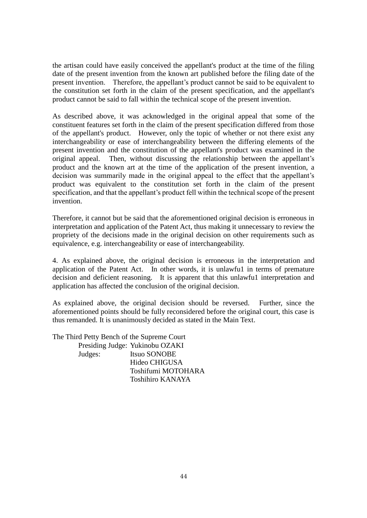the artisan could have easily conceived the appellant's product at the time of the filing date of the present invention from the known art published before the filing date of the present invention. Therefore, the appellant's product cannot be said to be equivalent to the constitution set forth in the claim of the present specification, and the appellant's product cannot be said to fall within the technical scope of the present invention.

As described above, it was acknowledged in the original appeal that some of the constituent features set forth in the claim of the present specification differed from those of the appellant's product. However, only the topic of whether or not there exist any interchangeability or ease of interchangeability between the differing elements of the present invention and the constitution of the appellant's product was examined in the original appeal. Then, without discussing the relationship between the appellant's product and the known art at the time of the application of the present invention, a decision was summarily made in the original appeal to the effect that the appellant's product was equivalent to the constitution set forth in the claim of the present specification, and that the appellant's product fell within the technical scope of the present invention.

Therefore, it cannot but be said that the aforementioned original decision is erroneous in interpretation and application of the Patent Act, thus making it unnecessary to review the propriety of the decisions made in the original decision on other requirements such as equivalence, e.g. interchangeability or ease of interchangeability.

4. As explained above, the original decision is erroneous in the interpretation and application of the Patent Act. In other words, it is unlawfu1 in terms of premature decision and deficient reasoning. It is apparent that this unlawfu1 interpretation and application has affected the conclusion of the original decision.

As explained above, the original decision should be reversed. Further, since the aforementioned points should be fully reconsidered before the original court, this case is thus remanded. It is unanimously decided as stated in the Main Text.

The Third Petty Bench of the Supreme Court Presiding Judge: Yukinobu OZAKI Judges: Itsuo SONOBE Hideo CHIGUSA Toshifumi MOTOHARA Toshihiro KANAYA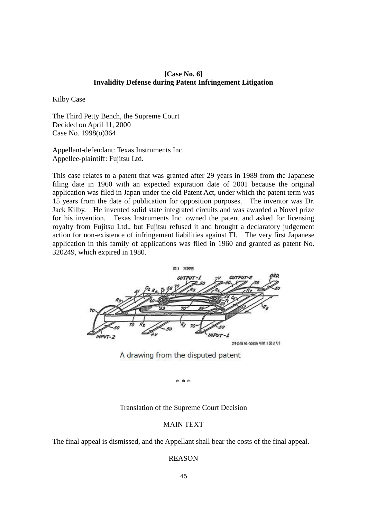#### **[Case No. 6] Invalidity Defense during Patent Infringement Litigation**

Kilby Case

The Third Petty Bench, the Supreme Court Decided on April 11, 2000 Case No. 1998(o)364

Appellant-defendant: Texas Instruments Inc. Appellee-plaintiff: Fujitsu Ltd.

This case relates to a patent that was granted after 29 years in 1989 from the Japanese filing date in 1960 with an expected expiration date of 2001 because the original application was filed in Japan under the old Patent Act, under which the patent term was 15 years from the date of publication for opposition purposes. The inventor was Dr. Jack Kilby. He invented solid state integrated circuits and was awarded a Novel prize for his invention. Texas Instruments Inc. owned the patent and asked for licensing royalty from Fujitsu Ltd., but Fujitsu refused it and brought a declaratory judgement action for non-existence of infringement liabilities against TI. The very first Japanese application in this family of applications was filed in 1960 and granted as patent No. 320249, which expired in 1980.



A drawing from the disputed patent

\* \* \*

#### Translation of the Supreme Court Decision

#### MAIN TEXT

The final appeal is dismissed, and the Appellant shall bear the costs of the final appeal.

#### REASON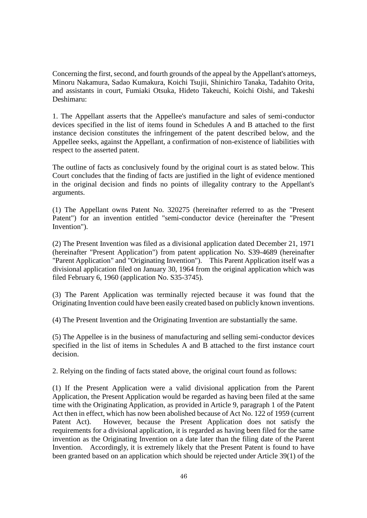Concerning the first, second, and fourth grounds of the appeal by the Appellant's attorneys, Minoru Nakamura, Sadao Kumakura, Koichi Tsujii, Shinichiro Tanaka, Tadahito Orita, and assistants in court, Fumiaki Otsuka, Hideto Takeuchi, Koichi Oishi, and Takeshi Deshimaru:

1. The Appellant asserts that the Appellee's manufacture and sales of semi-conductor devices specified in the list of items found in Schedules A and B attached to the first instance decision constitutes the infringement of the patent described below, and the Appellee seeks, against the Appellant, a confirmation of non-existence of liabilities with respect to the asserted patent.

The outline of facts as conclusively found by the original court is as stated below. This Court concludes that the finding of facts are justified in the light of evidence mentioned in the original decision and finds no points of illegality contrary to the Appellant's arguments.

(1) The Appellant owns Patent No. 320275 (hereinafter referred to as the "Present Patent") for an invention entitled "semi-conductor device (hereinafter the "Present Invention").

(2) The Present Invention was filed as a divisional application dated December 21, 1971 (hereinafter "Present Application") from patent application No. S39-4689 (hereinafter "Parent Application" and "Originating Invention"). This Parent Application itself was a divisional application filed on January 30, 1964 from the original application which was filed February 6, 1960 (application No. S35-3745).

(3) The Parent Application was terminally rejected because it was found that the Originating Invention could have been easily created based on publicly known inventions.

(4) The Present Invention and the Originating Invention are substantially the same.

(5) The Appellee is in the business of manufacturing and selling semi-conductor devices specified in the list of items in Schedules A and B attached to the first instance court decision.

2. Relying on the finding of facts stated above, the original court found as follows:

(1) If the Present Application were a valid divisional application from the Parent Application, the Present Application would be regarded as having been filed at the same time with the Originating Application, as provided in Article 9, paragraph 1 of the Patent Act then in effect, which has now been abolished because of Act No. 122 of 1959 (current Patent Act). However, because the Present Application does not satisfy the requirements for a divisional application, it is regarded as having been filed for the same invention as the Originating Invention on a date later than the filing date of the Parent Invention. Accordingly, it is extremely likely that the Present Patent is found to have been granted based on an application which should be rejected under Article 39(1) of the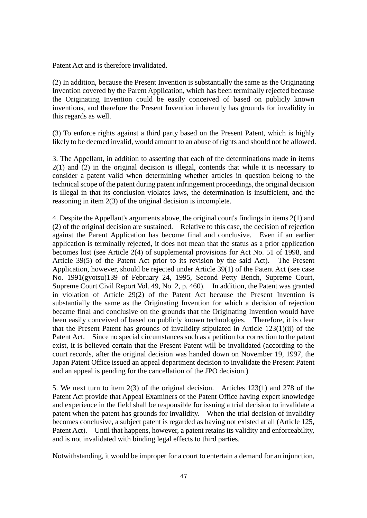Patent Act and is therefore invalidated.

(2) In addition, because the Present Invention is substantially the same as the Originating Invention covered by the Parent Application, which has been terminally rejected because the Originating Invention could be easily conceived of based on publicly known inventions, and therefore the Present Invention inherently has grounds for invalidity in this regards as well.

(3) To enforce rights against a third party based on the Present Patent, which is highly likely to be deemed invalid, would amount to an abuse of rights and should not be allowed.

3. The Appellant, in addition to asserting that each of the determinations made in items 2(1) and (2) in the original decision is illegal, contends that while it is necessary to consider a patent valid when determining whether articles in question belong to the technical scope of the patent during patent infringement proceedings, the original decision is illegal in that its conclusion violates laws, the determination is insufficient, and the reasoning in item 2(3) of the original decision is incomplete.

4. Despite the Appellant's arguments above, the original court's findings in items 2(1) and (2) of the original decision are sustained. Relative to this case, the decision of rejection against the Parent Application has become final and conclusive. Even if an earlier application is terminally rejected, it does not mean that the status as a prior application becomes lost (see Article 2(4) of supplemental provisions for Act No. 51 of 1998, and Article 39(5) of the Patent Act prior to its revision by the said Act). The Present Application, however, should be rejected under Article 39(1) of the Patent Act (see case No. 1991(gyotsu)139 of February 24, 1995, Second Petty Bench, Supreme Court, Supreme Court Civil Report Vol. 49, No. 2, p. 460). In addition, the Patent was granted in violation of Article 29(2) of the Patent Act because the Present Invention is substantially the same as the Originating Invention for which a decision of rejection became final and conclusive on the grounds that the Originating Invention would have been easily conceived of based on publicly known technologies. Therefore, it is clear that the Present Patent has grounds of invalidity stipulated in Article 123(1)(ii) of the Patent Act. Since no special circumstances such as a petition for correction to the patent exist, it is believed certain that the Present Patent will be invalidated (according to the court records, after the original decision was handed down on November 19, 1997, the Japan Patent Office issued an appeal department decision to invalidate the Present Patent and an appeal is pending for the cancellation of the JPO decision.)

5. We next turn to item 2(3) of the original decision. Articles 123(1) and 278 of the Patent Act provide that Appeal Examiners of the Patent Office having expert knowledge and experience in the field shall be responsible for issuing a trial decision to invalidate a patent when the patent has grounds for invalidity. When the trial decision of invalidity becomes conclusive, a subject patent is regarded as having not existed at all (Article 125, Patent Act). Until that happens, however, a patent retains its validity and enforceability, and is not invalidated with binding legal effects to third parties.

Notwithstanding, it would be improper for a court to entertain a demand for an injunction,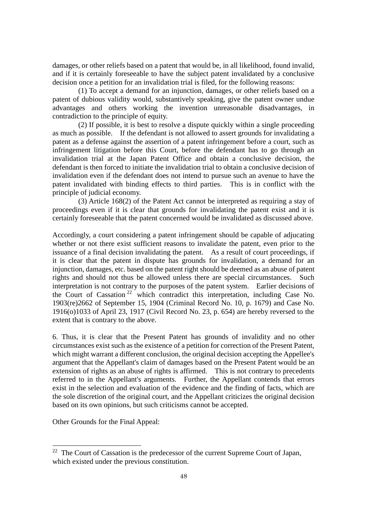damages, or other reliefs based on a patent that would be, in all likelihood, found invalid, and if it is certainly foreseeable to have the subject patent invalidated by a conclusive decision once a petition for an invalidation trial is filed, for the following reasons:

(1) To accept a demand for an injunction, damages, or other reliefs based on a patent of dubious validity would, substantively speaking, give the patent owner undue advantages and others working the invention unreasonable disadvantages, in contradiction to the principle of equity.

(2) If possible, it is best to resolve a dispute quickly within a single proceeding as much as possible. If the defendant is not allowed to assert grounds for invalidating a patent as a defense against the assertion of a patent infringement before a court, such as infringement litigation before this Court, before the defendant has to go through an invalidation trial at the Japan Patent Office and obtain a conclusive decision, the defendant is then forced to initiate the invalidation trial to obtain a conclusive decision of invalidation even if the defendant does not intend to pursue such an avenue to have the patent invalidated with binding effects to third parties. This is in conflict with the principle of judicial economy.

(3) Article 168(2) of the Patent Act cannot be interpreted as requiring a stay of proceedings even if it is clear that grounds for invalidating the patent exist and it is certainly foreseeable that the patent concerned would be invalidated as discussed above.

Accordingly, a court considering a patent infringement should be capable of adjucating whether or not there exist sufficient reasons to invalidate the patent, even prior to the issuance of a final decision invalidating the patent. As a result of court proceedings, if it is clear that the patent in dispute has grounds for invalidation, a demand for an injunction, damages, etc. based on the patent right should be deemed as an abuse of patent rights and should not thus be allowed unless there are special circumstances. Such interpretation is not contrary to the purposes of the patent system. Earlier decisions of the Court of Cassation<sup>22</sup> which contradict this interpretation, including Case No. 1903(re)2662 of September 15, 1904 (Criminal Record No. 10, p. 1679) and Case No. 1916(o)1033 of April 23, 1917 (Civil Record No. 23, p. 654) are hereby reversed to the extent that is contrary to the above.

6. Thus, it is clear that the Present Patent has grounds of invalidity and no other circumstances exist such as the existence of a petition for correction of the Present Patent, which might warrant a different conclusion, the original decision accepting the Appellee's argument that the Appellant's claim of damages based on the Present Patent would be an extension of rights as an abuse of rights is affirmed. This is not contrary to precedents referred to in the Appellant's arguments. Further, the Appellant contends that errors exist in the selection and evaluation of the evidence and the finding of facts, which are the sole discretion of the original court, and the Appellant criticizes the original decision based on its own opinions, but such criticisms cannot be accepted.

Other Grounds for the Final Appeal:

-

 $22$  The Court of Cassation is the predecessor of the current Supreme Court of Japan, which existed under the previous constitution.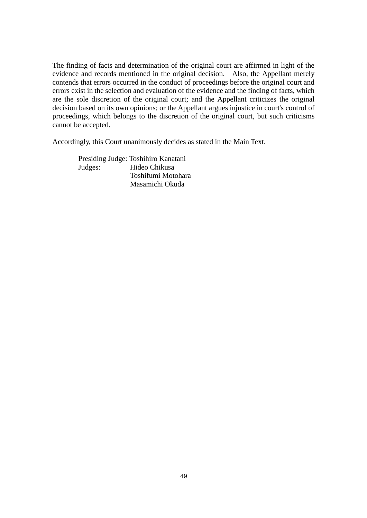The finding of facts and determination of the original court are affirmed in light of the evidence and records mentioned in the original decision. Also, the Appellant merely contends that errors occurred in the conduct of proceedings before the original court and errors exist in the selection and evaluation of the evidence and the finding of facts, which are the sole discretion of the original court; and the Appellant criticizes the original decision based on its own opinions; or the Appellant argues injustice in court's control of proceedings, which belongs to the discretion of the original court, but such criticisms cannot be accepted.

Accordingly, this Court unanimously decides as stated in the Main Text.

Presiding Judge: Toshihiro Kanatani Judges: Hideo Chikusa Toshifumi Motohara Masamichi Okuda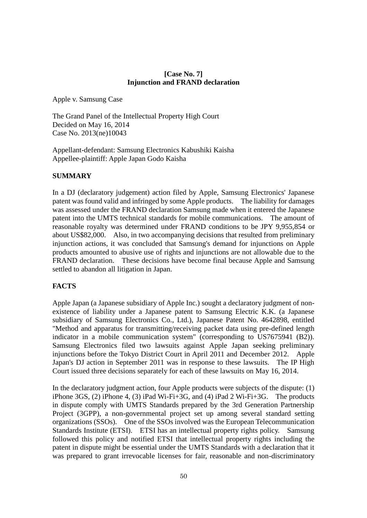#### **[Case No. 7] Injunction and FRAND declaration**

Apple v. Samsung Case

The Grand Panel of the Intellectual Property High Court Decided on May 16, 2014 Case No. 2013(ne)10043

Appellant-defendant: Samsung Electronics Kabushiki Kaisha Appellee-plaintiff: Apple Japan Godo Kaisha

# **SUMMARY**

In a DJ (declaratory judgement) action filed by Apple, Samsung Electronics' Japanese patent was found valid and infringed by some Apple products. The liability for damages was assessed under the FRAND declaration Samsung made when it entered the Japanese patent into the UMTS technical standards for mobile communications. The amount of reasonable royalty was determined under FRAND conditions to be JPY 9,955,854 or about US\$82,000. Also, in two accompanying decisions that resulted from preliminary injunction actions, it was concluded that Samsung's demand for injunctions on Apple products amounted to abusive use of rights and injunctions are not allowable due to the FRAND declaration. These decisions have become final because Apple and Samsung settled to abandon all litigation in Japan.

# **FACTS**

Apple Japan (a Japanese subsidiary of Apple Inc.) sought a declaratory judgment of nonexistence of liability under a Japanese patent to Samsung Electric K.K. (a Japanese subsidiary of Samsung Electronics Co., Ltd.), Japanese Patent No. 4642898, entitled "Method and apparatus for transmitting/receiving packet data using pre-defined length indicator in a mobile communication system" (corresponding to US7675941 (B2)). Samsung Electronics filed two lawsuits against Apple Japan seeking preliminary injunctions before the Tokyo District Court in April 2011 and December 2012. Apple Japan's DJ action in September 2011 was in response to these lawsuits. The IP High Court issued three decisions separately for each of these lawsuits on May 16, 2014.

In the declaratory judgment action, four Apple products were subjects of the dispute: (1) iPhone 3GS, (2) iPhone 4, (3) iPad Wi-Fi+3G, and (4) iPad 2 Wi-Fi+3G. The products in dispute comply with UMTS Standards prepared by the 3rd Generation Partnership Project (3GPP), a non-governmental project set up among several standard setting organizations (SSOs). One of the SSOs involved was the European Telecommunication Standards Institute (ETSI). ETSI has an intellectual property rights policy. Samsung followed this policy and notified ETSI that intellectual property rights including the patent in dispute might be essential under the UMTS Standards with a declaration that it was prepared to grant irrevocable licenses for fair, reasonable and non-discriminatory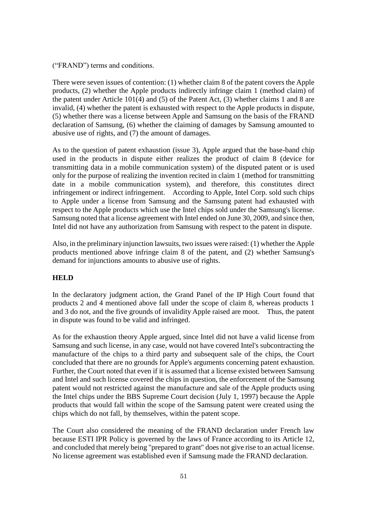("FRAND") terms and conditions.

There were seven issues of contention: (1) whether claim 8 of the patent covers the Apple products, (2) whether the Apple products indirectly infringe claim 1 (method claim) of the patent under Article 101(4) and (5) of the Patent Act, (3) whether claims 1 and 8 are invalid, (4) whether the patent is exhausted with respect to the Apple products in dispute, (5) whether there was a license between Apple and Samsung on the basis of the FRAND declaration of Samsung, (6) whether the claiming of damages by Samsung amounted to abusive use of rights, and (7) the amount of damages.

As to the question of patent exhaustion (issue 3), Apple argued that the base-band chip used in the products in dispute either realizes the product of claim 8 (device for transmitting data in a mobile communication system) of the disputed patent or is used only for the purpose of realizing the invention recited in claim 1 (method for transmitting date in a mobile communication system), and therefore, this constitutes direct infringement or indirect infringement. According to Apple, Intel Corp. sold such chips to Apple under a license from Samsung and the Samsung patent had exhausted with respect to the Apple products which use the Intel chips sold under the Samsung's license. Samsung noted that a license agreement with Intel ended on June 30, 2009, and since then, Intel did not have any authorization from Samsung with respect to the patent in dispute.

Also, in the preliminary injunction lawsuits, two issues were raised: (1) whether the Apple products mentioned above infringe claim 8 of the patent, and (2) whether Samsung's demand for injunctions amounts to abusive use of rights.

#### **HELD**

In the declaratory judgment action, the Grand Panel of the IP High Court found that products 2 and 4 mentioned above fall under the scope of claim 8, whereas products 1 and 3 do not, and the five grounds of invalidity Apple raised are moot. Thus, the patent in dispute was found to be valid and infringed.

As for the exhaustion theory Apple argued, since Intel did not have a valid license from Samsung and such license, in any case, would not have covered Intel's subcontracting the manufacture of the chips to a third party and subsequent sale of the chips, the Court concluded that there are no grounds for Apple's arguments concerning patent exhaustion. Further, the Court noted that even if it is assumed that a license existed between Samsung and Intel and such license covered the chips in question, the enforcement of the Samsung patent would not restricted against the manufacture and sale of the Apple products using the Intel chips under the BBS Supreme Court decision (July 1, 1997) because the Apple products that would fall within the scope of the Samsung patent were created using the chips which do not fall, by themselves, within the patent scope.

The Court also considered the meaning of the FRAND declaration under French law because ESTI IPR Policy is governed by the laws of France according to its Article 12, and concluded that merely being "prepared to grant" does not give rise to an actual license. No license agreement was established even if Samsung made the FRAND declaration.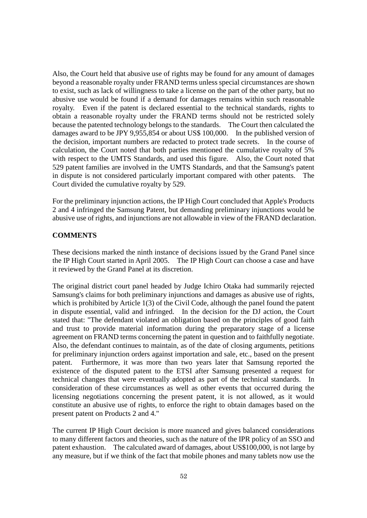Also, the Court held that abusive use of rights may be found for any amount of damages beyond a reasonable royalty under FRAND terms unless special circumstances are shown to exist, such as lack of willingness to take a license on the part of the other party, but no abusive use would be found if a demand for damages remains within such reasonable royalty. Even if the patent is declared essential to the technical standards, rights to obtain a reasonable royalty under the FRAND terms should not be restricted solely because the patented technology belongs to the standards. The Court then calculated the damages award to be JPY 9,955,854 or about US\$ 100,000. In the published version of the decision, important numbers are redacted to protect trade secrets. In the course of calculation, the Court noted that both parties mentioned the cumulative royalty of 5% with respect to the UMTS Standards, and used this figure. Also, the Court noted that 529 patent families are involved in the UMTS Standards, and that the Samsung's patent in dispute is not considered particularly important compared with other patents. The Court divided the cumulative royalty by 529.

For the preliminary injunction actions, the IP High Court concluded that Apple's Products 2 and 4 infringed the Samsung Patent, but demanding preliminary injunctions would be abusive use of rights, and injunctions are not allowable in view of the FRAND declaration.

#### **COMMENTS**

These decisions marked the ninth instance of decisions issued by the Grand Panel since the IP High Court started in April 2005. The IP High Court can choose a case and have it reviewed by the Grand Panel at its discretion.

The original district court panel headed by Judge Ichiro Otaka had summarily rejected Samsung's claims for both preliminary injunctions and damages as abusive use of rights, which is prohibited by Article 1(3) of the Civil Code, although the panel found the patent in dispute essential, valid and infringed. In the decision for the DJ action, the Court stated that: "The defendant violated an obligation based on the principles of good faith and trust to provide material information during the preparatory stage of a license agreement on FRAND terms concerning the patent in question and to faithfully negotiate. Also, the defendant continues to maintain, as of the date of closing arguments, petitions for preliminary injunction orders against importation and sale, etc., based on the present patent. Furthermore, it was more than two years later that Samsung reported the existence of the disputed patent to the ETSI after Samsung presented a request for technical changes that were eventually adopted as part of the technical standards. In consideration of these circumstances as well as other events that occurred during the licensing negotiations concerning the present patent, it is not allowed, as it would constitute an abusive use of rights, to enforce the right to obtain damages based on the present patent on Products 2 and 4."

The current IP High Court decision is more nuanced and gives balanced considerations to many different factors and theories, such as the nature of the IPR policy of an SSO and patent exhaustion. The calculated award of damages, about US\$100,000, is not large by any measure, but if we think of the fact that mobile phones and many tablets now use the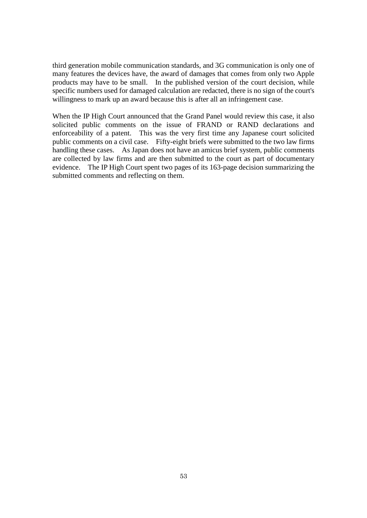third generation mobile communication standards, and 3G communication is only one of many features the devices have, the award of damages that comes from only two Apple products may have to be small. In the published version of the court decision, while specific numbers used for damaged calculation are redacted, there is no sign of the court's willingness to mark up an award because this is after all an infringement case.

When the IP High Court announced that the Grand Panel would review this case, it also solicited public comments on the issue of FRAND or RAND declarations and enforceability of a patent. This was the very first time any Japanese court solicited public comments on a civil case. Fifty-eight briefs were submitted to the two law firms handling these cases. As Japan does not have an amicus brief system, public comments are collected by law firms and are then submitted to the court as part of documentary evidence. The IP High Court spent two pages of its 163-page decision summarizing the submitted comments and reflecting on them.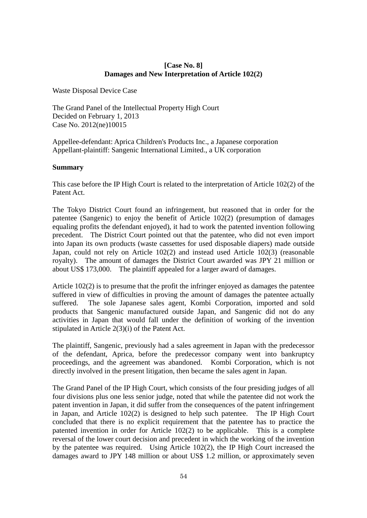#### **[Case No. 8] Damages and New Interpretation of Article 102(2)**

Waste Disposal Device Case

The Grand Panel of the Intellectual Property High Court Decided on February 1, 2013 Case No. 2012(ne)10015

Appellee-defendant: Aprica Children's Products Inc., a Japanese corporation Appellant-plaintiff: Sangenic International Limited., a UK corporation

#### **Summary**

This case before the IP High Court is related to the interpretation of Article 102(2) of the Patent Act.

The Tokyo District Court found an infringement, but reasoned that in order for the patentee (Sangenic) to enjoy the benefit of Article 102(2) (presumption of damages equaling profits the defendant enjoyed), it had to work the patented invention following precedent. The District Court pointed out that the patentee, who did not even import into Japan its own products (waste cassettes for used disposable diapers) made outside Japan, could not rely on Article 102(2) and instead used Article 102(3) (reasonable royalty). The amount of damages the District Court awarded was JPY 21 million or about US\$ 173,000. The plaintiff appealed for a larger award of damages.

Article 102(2) is to presume that the profit the infringer enjoyed as damages the patentee suffered in view of difficulties in proving the amount of damages the patentee actually suffered. The sole Japanese sales agent, Kombi Corporation, imported and sold products that Sangenic manufactured outside Japan, and Sangenic did not do any activities in Japan that would fall under the definition of working of the invention stipulated in Article 2(3)(i) of the Patent Act.

The plaintiff, Sangenic, previously had a sales agreement in Japan with the predecessor of the defendant, Aprica, before the predecessor company went into bankruptcy proceedings, and the agreement was abandoned. Kombi Corporation, which is not directly involved in the present litigation, then became the sales agent in Japan.

The Grand Panel of the IP High Court, which consists of the four presiding judges of all four divisions plus one less senior judge, noted that while the patentee did not work the patent invention in Japan, it did suffer from the consequences of the patent infringement in Japan, and Article 102(2) is designed to help such patentee. The IP High Court concluded that there is no explicit requirement that the patentee has to practice the patented invention in order for Article 102(2) to be applicable. This is a complete reversal of the lower court decision and precedent in which the working of the invention by the patentee was required. Using Article 102(2), the IP High Court increased the damages award to JPY 148 million or about US\$ 1.2 million, or approximately seven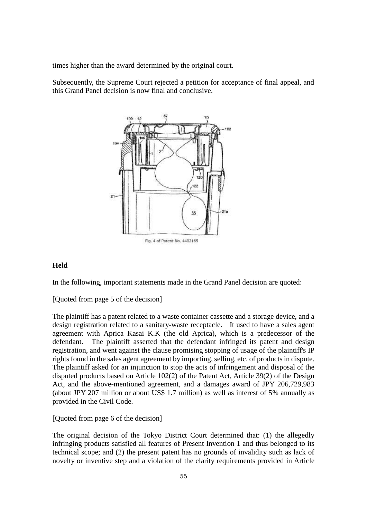times higher than the award determined by the original court.

Subsequently, the Supreme Court rejected a petition for acceptance of final appeal, and this Grand Panel decision is now final and conclusive.



#### **Held**

In the following, important statements made in the Grand Panel decision are quoted:

[Quoted from page 5 of the decision]

The plaintiff has a patent related to a waste container cassette and a storage device, and a design registration related to a sanitary-waste receptacle. It used to have a sales agent agreement with Aprica Kasai K.K (the old Aprica), which is a predecessor of the defendant. The plaintiff asserted that the defendant infringed its patent and design registration, and went against the clause promising stopping of usage of the plaintiff's IP rights found in the sales agent agreement by importing, selling, etc. of products in dispute. The plaintiff asked for an injunction to stop the acts of infringement and disposal of the disputed products based on Article 102(2) of the Patent Act, Article 39(2) of the Design Act, and the above-mentioned agreement, and a damages award of JPY 206,729,983 (about JPY 207 million or about US\$ 1.7 million) as well as interest of 5% annually as provided in the Civil Code.

[Quoted from page 6 of the decision]

The original decision of the Tokyo District Court determined that: (1) the allegedly infringing products satisfied all features of Present Invention 1 and thus belonged to its technical scope; and (2) the present patent has no grounds of invalidity such as lack of novelty or inventive step and a violation of the clarity requirements provided in Article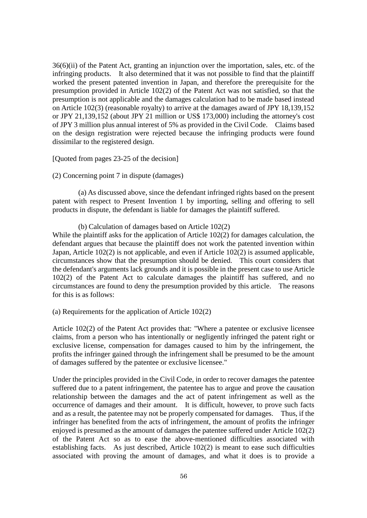36(6)(ii) of the Patent Act, granting an injunction over the importation, sales, etc. of the infringing products. It also determined that it was not possible to find that the plaintiff worked the present patented invention in Japan, and therefore the prerequisite for the presumption provided in Article 102(2) of the Patent Act was not satisfied, so that the presumption is not applicable and the damages calculation had to be made based instead on Article 102(3) (reasonable royalty) to arrive at the damages award of JPY 18,139,152 or JPY 21,139,152 (about JPY 21 million or US\$ 173,000) including the attorney's cost of JPY 3 million plus annual interest of 5% as provided in the Civil Code. Claims based on the design registration were rejected because the infringing products were found dissimilar to the registered design.

#### [Quoted from pages 23-25 of the decision]

#### (2) Concerning point 7 in dispute (damages)

(a) As discussed above, since the defendant infringed rights based on the present patent with respect to Present Invention 1 by importing, selling and offering to sell products in dispute, the defendant is liable for damages the plaintiff suffered.

#### (b) Calculation of damages based on Article 102(2)

While the plaintiff asks for the application of Article 102(2) for damages calculation, the defendant argues that because the plaintiff does not work the patented invention within Japan, Article 102(2) is not applicable, and even if Article 102(2) is assumed applicable, circumstances show that the presumption should be denied. This court considers that the defendant's arguments lack grounds and it is possible in the present case to use Article 102(2) of the Patent Act to calculate damages the plaintiff has suffered, and no circumstances are found to deny the presumption provided by this article. The reasons for this is as follows:

#### (a) Requirements for the application of Article 102(2)

Article 102(2) of the Patent Act provides that: "Where a patentee or exclusive licensee claims, from a person who has intentionally or negligently infringed the patent right or exclusive license, compensation for damages caused to him by the infringement, the profits the infringer gained through the infringement shall be presumed to be the amount of damages suffered by the patentee or exclusive licensee."

Under the principles provided in the Civil Code, in order to recover damages the patentee suffered due to a patent infringement, the patentee has to argue and prove the causation relationship between the damages and the act of patent infringement as well as the occurrence of damages and their amount. It is difficult, however, to prove such facts and as a result, the patentee may not be properly compensated for damages. Thus, if the infringer has benefited from the acts of infringement, the amount of profits the infringer enjoyed is presumed as the amount of damages the patentee suffered under Article 102(2) of the Patent Act so as to ease the above-mentioned difficulties associated with establishing facts. As just described, Article 102(2) is meant to ease such difficulties associated with proving the amount of damages, and what it does is to provide a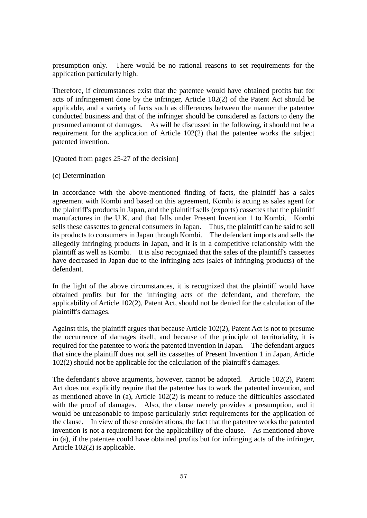presumption only. There would be no rational reasons to set requirements for the application particularly high.

Therefore, if circumstances exist that the patentee would have obtained profits but for acts of infringement done by the infringer, Article 102(2) of the Patent Act should be applicable, and a variety of facts such as differences between the manner the patentee conducted business and that of the infringer should be considered as factors to deny the presumed amount of damages. As will be discussed in the following, it should not be a requirement for the application of Article 102(2) that the patentee works the subject patented invention.

[Quoted from pages 25-27 of the decision]

#### (c) Determination

In accordance with the above-mentioned finding of facts, the plaintiff has a sales agreement with Kombi and based on this agreement, Kombi is acting as sales agent for the plaintiff's products in Japan, and the plaintiff sells (exports) cassettes that the plaintiff manufactures in the U.K. and that falls under Present Invention 1 to Kombi. Kombi sells these cassettes to general consumers in Japan. Thus, the plaintiff can be said to sell its products to consumers in Japan through Kombi. The defendant imports and sells the allegedly infringing products in Japan, and it is in a competitive relationship with the plaintiff as well as Kombi. It is also recognized that the sales of the plaintiff's cassettes have decreased in Japan due to the infringing acts (sales of infringing products) of the defendant.

In the light of the above circumstances, it is recognized that the plaintiff would have obtained profits but for the infringing acts of the defendant, and therefore, the applicability of Article 102(2), Patent Act, should not be denied for the calculation of the plaintiff's damages.

Against this, the plaintiff argues that because Article 102(2), Patent Act is not to presume the occurrence of damages itself, and because of the principle of territoriality, it is required for the patentee to work the patented invention in Japan. The defendant argues that since the plaintiff does not sell its cassettes of Present Invention 1 in Japan, Article 102(2) should not be applicable for the calculation of the plaintiff's damages.

The defendant's above arguments, however, cannot be adopted. Article 102(2), Patent Act does not explicitly require that the patentee has to work the patented invention, and as mentioned above in (a), Article 102(2) is meant to reduce the difficulties associated with the proof of damages. Also, the clause merely provides a presumption, and it would be unreasonable to impose particularly strict requirements for the application of the clause. In view of these considerations, the fact that the patentee works the patented invention is not a requirement for the applicability of the clause. As mentioned above in (a), if the patentee could have obtained profits but for infringing acts of the infringer, Article 102(2) is applicable.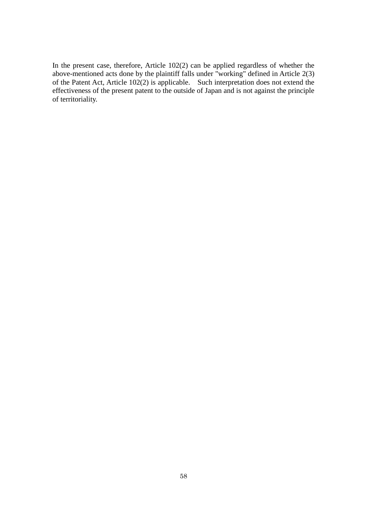In the present case, therefore, Article 102(2) can be applied regardless of whether the above-mentioned acts done by the plaintiff falls under "working" defined in Article 2(3) of the Patent Act, Article 102(2) is applicable. Such interpretation does not extend the effectiveness of the present patent to the outside of Japan and is not against the principle of territoriality.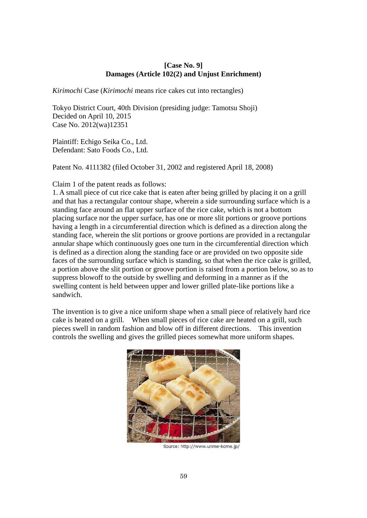# **[Case No. 9] Damages (Article 102(2) and Unjust Enrichment)**

*Kirimochi* Case (*Kirimochi* means rice cakes cut into rectangles)

Tokyo District Court, 40th Division (presiding judge: Tamotsu Shoji) Decided on April 10, 2015 Case No. 2012(wa)12351

Plaintiff: Echigo Seika Co., Ltd. Defendant: Sato Foods Co., Ltd.

Patent No. 4111382 (filed October 31, 2002 and registered April 18, 2008)

Claim 1 of the patent reads as follows:

1. A small piece of cut rice cake that is eaten after being grilled by placing it on a grill and that has a rectangular contour shape, wherein a side surrounding surface which is a standing face around an flat upper surface of the rice cake, which is not a bottom placing surface nor the upper surface, has one or more slit portions or groove portions having a length in a circumferential direction which is defined as a direction along the standing face, wherein the slit portions or groove portions are provided in a rectangular annular shape which continuously goes one turn in the circumferential direction which is defined as a direction along the standing face or are provided on two opposite side faces of the surrounding surface which is standing, so that when the rice cake is grilled, a portion above the slit portion or groove portion is raised from a portion below, so as to suppress blowoff to the outside by swelling and deforming in a manner as if the swelling content is held between upper and lower grilled plate-like portions like a sandwich.

The invention is to give a nice uniform shape when a small piece of relatively hard rice cake is heated on a grill. When small pieces of rice cake are heated on a grill, such pieces swell in random fashion and blow off in different directions. This invention controls the swelling and gives the grilled pieces somewhat more uniform shapes.



Source: http://www.unme-kome.jp/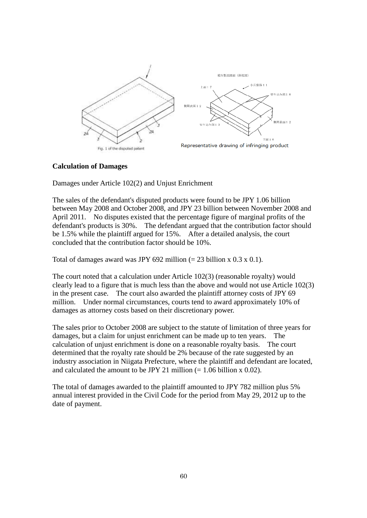

#### **Calculation of Damages**

Damages under Article 102(2) and Unjust Enrichment

The sales of the defendant's disputed products were found to be JPY 1.06 billion between May 2008 and October 2008, and JPY 23 billion between November 2008 and April 2011. No disputes existed that the percentage figure of marginal profits of the defendant's products is 30%. The defendant argued that the contribution factor should be 1.5% while the plaintiff argued for 15%. After a detailed analysis, the court concluded that the contribution factor should be 10%.

Total of damages award was JPY 692 million  $(= 23 \text{ billion x } 0.3 \text{ x } 0.1)$ .

The court noted that a calculation under Article 102(3) (reasonable royalty) would clearly lead to a figure that is much less than the above and would not use Article 102(3) in the present case. The court also awarded the plaintiff attorney costs of JPY 69 million. Under normal circumstances, courts tend to award approximately 10% of damages as attorney costs based on their discretionary power.

The sales prior to October 2008 are subject to the statute of limitation of three years for damages, but a claim for unjust enrichment can be made up to ten years. The calculation of unjust enrichment is done on a reasonable royalty basis. The court determined that the royalty rate should be 2% because of the rate suggested by an industry association in Niigata Prefecture, where the plaintiff and defendant are located, and calculated the amount to be JPY 21 million  $(= 1.06 \text{ billion x } 0.02)$ .

The total of damages awarded to the plaintiff amounted to JPY 782 million plus 5% annual interest provided in the Civil Code for the period from May 29, 2012 up to the date of payment.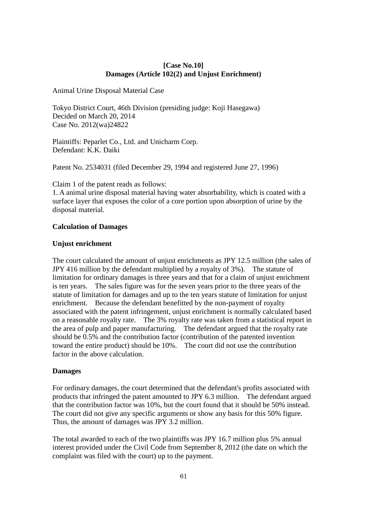# **[Case No.10] Damages (Article 102(2) and Unjust Enrichment)**

Animal Urine Disposal Material Case

Tokyo District Court, 46th Division (presiding judge: Koji Hasegawa) Decided on March 20, 2014 Case No. 2012(wa)24822

Plaintiffs: Peparlet Co., Ltd. and Unicharm Corp. Defendant: K.K. Daiki

Patent No. 2534031 (filed December 29, 1994 and registered June 27, 1996)

Claim 1 of the patent reads as follows:

1. A animal urine disposal material having water absorbability, which is coated with a surface layer that exposes the color of a core portion upon absorption of urine by the disposal material.

#### **Calculation of Damages**

#### **Unjust enrichment**

The court calculated the amount of unjust enrichments as JPY 12.5 million (the sales of JPY 416 million by the defendant multiplied by a royalty of 3%). The statute of limitation for ordinary damages is three years and that for a claim of unjust enrichment is ten years. The sales figure was for the seven years prior to the three years of the statute of limitation for damages and up to the ten years statute of limitation for unjust enrichment. Because the defendant benefitted by the non-payment of royalty associated with the patent infringement, unjust enrichment is normally calculated based on a reasonable royalty rate. The 3% royalty rate was taken from a statistical report in the area of pulp and paper manufacturing. The defendant argued that the royalty rate should be 0.5% and the contribution factor (contribution of the patented invention toward the entire product) should be 10%. The court did not use the contribution factor in the above calculation.

#### **Damages**

For ordinary damages, the court determined that the defendant's profits associated with products that infringed the patent amounted to JPY 6.3 million. The defendant argued that the contribution factor was 10%, but the court found that it should be 50% instead. The court did not give any specific arguments or show any basis for this 50% figure. Thus, the amount of damages was JPY 3.2 million.

The total awarded to each of the two plaintiffs was JPY 16.7 million plus 5% annual interest provided under the Civil Code from September 8, 2012 (the date on which the complaint was filed with the court) up to the payment.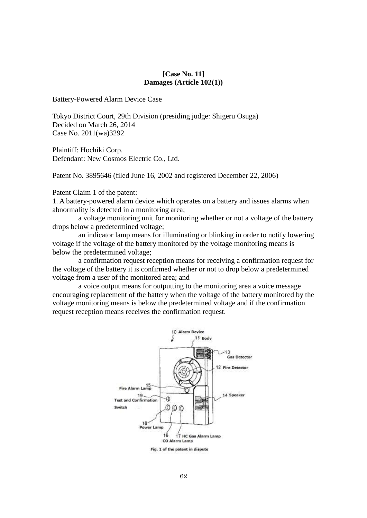#### **[Case No. 11] Damages (Article 102(1))**

Battery-Powered Alarm Device Case

Tokyo District Court, 29th Division (presiding judge: Shigeru Osuga) Decided on March 26, 2014 Case No. 2011(wa)3292

Plaintiff: Hochiki Corp. Defendant: New Cosmos Electric Co., Ltd.

Patent No. 3895646 (filed June 16, 2002 and registered December 22, 2006)

Patent Claim 1 of the patent:

1. A battery-powered alarm device which operates on a battery and issues alarms when abnormality is detected in a monitoring area;

a voltage monitoring unit for monitoring whether or not a voltage of the battery drops below a predetermined voltage;

an indicator lamp means for illuminating or blinking in order to notify lowering voltage if the voltage of the battery monitored by the voltage monitoring means is below the predetermined voltage;

a confirmation request reception means for receiving a confirmation request for the voltage of the battery it is confirmed whether or not to drop below a predetermined voltage from a user of the monitored area; and

a voice output means for outputting to the monitoring area a voice message encouraging replacement of the battery when the voltage of the battery monitored by the voltage monitoring means is below the predetermined voltage and if the confirmation request reception means receives the confirmation request.

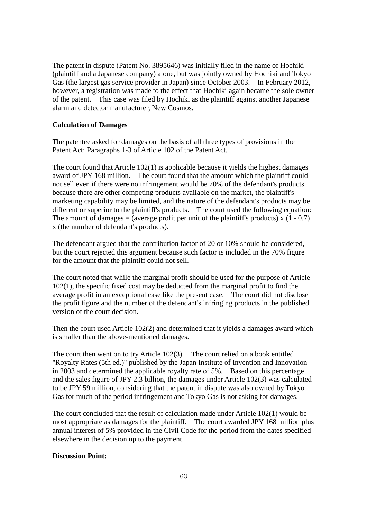The patent in dispute (Patent No. 3895646) was initially filed in the name of Hochiki (plaintiff and a Japanese company) alone, but was jointly owned by Hochiki and Tokyo Gas (the largest gas service provider in Japan) since October 2003. In February 2012, however, a registration was made to the effect that Hochiki again became the sole owner of the patent. This case was filed by Hochiki as the plaintiff against another Japanese alarm and detector manufacturer, New Cosmos.

#### **Calculation of Damages**

The patentee asked for damages on the basis of all three types of provisions in the Patent Act: Paragraphs 1-3 of Article 102 of the Patent Act.

The court found that Article 102(1) is applicable because it yields the highest damages award of JPY 168 million. The court found that the amount which the plaintiff could not sell even if there were no infringement would be 70% of the defendant's products because there are other competing products available on the market, the plaintiff's marketing capability may be limited, and the nature of the defendant's products may be different or superior to the plaintiff's products. The court used the following equation: The amount of damages = (average profit per unit of the plaintiff's products) x  $(1 - 0.7)$ x (the number of defendant's products).

The defendant argued that the contribution factor of 20 or 10% should be considered, but the court rejected this argument because such factor is included in the 70% figure for the amount that the plaintiff could not sell.

The court noted that while the marginal profit should be used for the purpose of Article 102(1), the specific fixed cost may be deducted from the marginal profit to find the average profit in an exceptional case like the present case. The court did not disclose the profit figure and the number of the defendant's infringing products in the published version of the court decision.

Then the court used Article 102(2) and determined that it yields a damages award which is smaller than the above-mentioned damages.

The court then went on to try Article 102(3). The court relied on a book entitled "Royalty Rates (5th ed.)" published by the Japan Institute of Invention and Innovation in 2003 and determined the applicable royalty rate of 5%. Based on this percentage and the sales figure of JPY 2.3 billion, the damages under Article 102(3) was calculated to be JPY 59 million, considering that the patent in dispute was also owned by Tokyo Gas for much of the period infringement and Tokyo Gas is not asking for damages.

The court concluded that the result of calculation made under Article 102(1) would be most appropriate as damages for the plaintiff. The court awarded JPY 168 million plus annual interest of 5% provided in the Civil Code for the period from the dates specified elsewhere in the decision up to the payment.

#### **Discussion Point:**